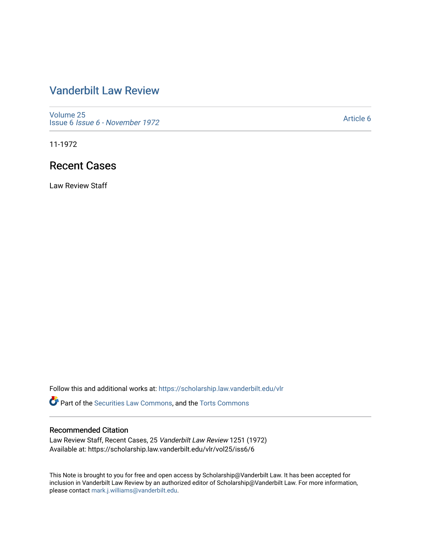## [Vanderbilt Law Review](https://scholarship.law.vanderbilt.edu/vlr)

[Volume 25](https://scholarship.law.vanderbilt.edu/vlr/vol25) Issue 6 [Issue 6 - November 1972](https://scholarship.law.vanderbilt.edu/vlr/vol25/iss6)

[Article 6](https://scholarship.law.vanderbilt.edu/vlr/vol25/iss6/6) 

11-1972

## Recent Cases

Law Review Staff

Follow this and additional works at: [https://scholarship.law.vanderbilt.edu/vlr](https://scholarship.law.vanderbilt.edu/vlr?utm_source=scholarship.law.vanderbilt.edu%2Fvlr%2Fvol25%2Fiss6%2F6&utm_medium=PDF&utm_campaign=PDFCoverPages)

Part of the [Securities Law Commons,](http://network.bepress.com/hgg/discipline/619?utm_source=scholarship.law.vanderbilt.edu%2Fvlr%2Fvol25%2Fiss6%2F6&utm_medium=PDF&utm_campaign=PDFCoverPages) and the [Torts Commons](http://network.bepress.com/hgg/discipline/913?utm_source=scholarship.law.vanderbilt.edu%2Fvlr%2Fvol25%2Fiss6%2F6&utm_medium=PDF&utm_campaign=PDFCoverPages)

#### Recommended Citation

Law Review Staff, Recent Cases, 25 Vanderbilt Law Review 1251 (1972) Available at: https://scholarship.law.vanderbilt.edu/vlr/vol25/iss6/6

This Note is brought to you for free and open access by Scholarship@Vanderbilt Law. It has been accepted for inclusion in Vanderbilt Law Review by an authorized editor of Scholarship@Vanderbilt Law. For more information, please contact [mark.j.williams@vanderbilt.edu.](mailto:mark.j.williams@vanderbilt.edu)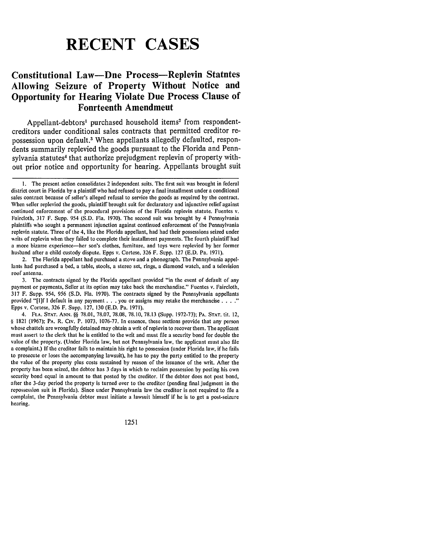# **RECENT CASES**

### **Constitutional Law-Due Process-Replevin Statutes Allowing Seizure of Property Without Notice and Opportunity for Hearing Violate Due Process Clause of Fourteenth Amendment**

Appellant-debtors' purchased household items' from respondentcreditors under conditional sales contracts that permitted creditor repossession upon default.3 When appellants allegedly defaulted, respondents summarily replevied the goods pursuant to the Florida and Pennsylvania statutes<sup>4</sup> that authorize prejudgment replevin of property without prior notice and opportunity for hearing. Appellants brought suit

2. The Florida appellant had purchased a stove and a phonograph. The Pennsylvania appellants had purchased a bed, a table, stools, a stereo set, rings, a diamond watch, and a television roof antenna.

3. The contracts signed by the Florida appellant provided "in the event of default of any payment or payments, Seller at its option may take back the merchandise." Fuentes v. Faircloth, 317 F. Supp. 954, 956 (S.D. Fla. 1970). The contracts signed by the Pennsylvania appellants provided "[1]f I default in any payment **. . .** you or assigns may retake the merchancise **.** Epps v. Cortese, 326 F. Supp. 127, 130 (E.D. Pa. 1971).

4. FLA. **STAT. ANN. §§** 78.01, 78.07, 78.08, **78.10,** 78.13 (Supp. 1972-73); **PA. STAT.** tit. 12, § 1821 (1967); **PA.** R. Civ. P. 1073, 1076-77. In essence, these sections provide that any person whose chattels are wrongfully detained may obtain a writ of replevin to recover them. The applicant must assert to the clerk that he is entitled to the writ and must file a security bond for double the value of the property. (Under Florida law, but not Pennsylvania law, the applicant must also file a complaint.) If the creditor fails to maintain his right to possession (under Florida law, if he fails to prosecute or loses the accompanying lawsuit), he has to pay the party entitled to the property the value of the property plus costs sustained by reason of the issuance of the writ. After the property has been seized, the debtor has 3 days in which to reclaim possession by posting his own security bond equal in amount to that posted by the creditor. If the debtor does not post bond, after the 3-day period the property is turned over to the creditor (pending final judgment in the repossession suit in Florida). Since under Pennsylvania law the creditor is not required to file a complaint, the Pennsylvania debtor must initiate a lawsuit himself if he is to get a post-seizure hearing.

1251

I. The present action consolidates 2 independent suits. The first suit was brought in federal district court in Florida by a plaintiff who had refused to pay a final installment under a conditional sales contract because of seller's alleged refusal to service the goods as required by the contract. When seller replevied the goods, plaintiff brought suit for declaratory and injunctive relief against continued enforcement of the procedural provisions of the Florida replevin statute. Fuentes v. Faircloth, 317 F. Supp. 954 (S.D. Fla. 1970). The second suit was brought by 4 Pennsylvania plaintiffs who sought a permanent injunction against continued enforcement of the Pennsylvania replevin statute. Three of the 4, like the Florida appellant, had had their possessions seized under writs of replevin when they failed to complete their installment payments. The fourth plaintiff had a more bizarre experience-her son's clothes, furniture, and toys were replevied by her former husband after a child custody dispute. Epps v. Cortese, 326 F. Supp. 127 (E.D. Pa. 1971).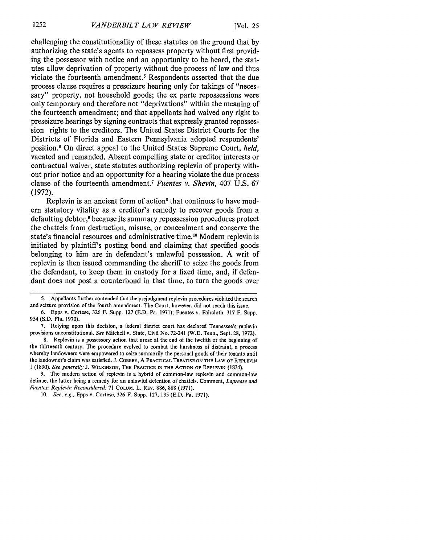challenging the constitutionality of these statutes on the ground that by authorizing the state's agents to repossess property without first providing the possessor with notice and an opportunity to be heard, the statutes allow deprivation of property without due process of law and thus violate the fourteenth amendment.<sup>5</sup> Respondents asserted that the due process clause requires a preseizure hearing only for takings of "necessary" property, not household goods; the ex parte repossessions were only temporary and therefore not "deprivations" within the meaning of the fourteenth amendment; and that appellants had waived any right to preseizure hearings by signing contracts that expressly granted repossession rights to the creditors. The United States District Courts for the Districts of Florida and Eastern Pennsylvania adopted respondents' position.' On direct appeal to the United States Supreme Court, *held,* vacated and remanded. Absent compelling state or creditor interests or contractual waiver, state statutes authorizing replevin of property without prior notice and an opportunity for a hearing violate the due process clause of the fourteenth amendment.7 *Fuentes v. Shevin,* 407 U.S. 67 (1972).

Replevin is an ancient form of action<sup>8</sup> that continues to have modern statutory vitality as a creditor's remedy to recover goods from a defaulting debtor,<sup>9</sup> because its summary repossession procedures protect the chattels from destruction, misuse, or concealment and conserve the state's financial resources and administrative time.<sup>10</sup> Modern replevin is initiated by plaintiff's posting bond and claiming that specified goods belonging to him are in defendant's unlawful possession. A writ of replevin is then issued commanding the sheriff to seize the goods from the defendant, to keep them in custody for a fixed time, and, if defendant does not post a counterbond in that time, to turn the goods over

9. The modem action of replevin is a hybrid of common-law replevin and common-law detinue, the latter being a remedy for an unlawful detention of chattels. Comment, *Laprease and Fuentes: Replevin Reconsidered,* 71 COLUM. L. REV. 886, 888 (1971).

<sup>5.</sup> Appellants further contended that the prejudgment replevin procedures violated the search and seizure provision of the fourth amendment. The Court, however, did not reach this issue.

<sup>6.</sup> Epps v. Cortese, 326 F. Supp. 127 (E.D. Pa. 1971); Fuentes v. Faircloth, 317 F. Supp. 954 (S.D. Fla. 1970).

<sup>7.</sup> Relying upon this decision, a federal district court has declared Tennessee's replevin provisions unconstitutional. *See* Mitchell v. State, Civil No. 72-241 (W.D. Tenn., Sept. 28, 1972).

<sup>8.</sup> Replevin is a possessory action that arose at the end of the twelfth or the beginning of the thirteenth century. The procedure evolved to combat the harshness of distraint, a process whereby landowners were empowered to seize summarily the personal goods of their tenants until the landowner's claim was satisfied. **J. COBBEY,** A PRACTICAL TREATISE **ON** THE LAW **OF** REPLEVIN I (1890). *See generally* J. **WILKINSON,** THE PRACTICE **IN** THE **ACTION** OF REPLEVIN (1834).

<sup>10.</sup> *See, e.g.,* Epps v. Cortese, 326 F. Supp. 127, 135 (E.D. Pa. 1971).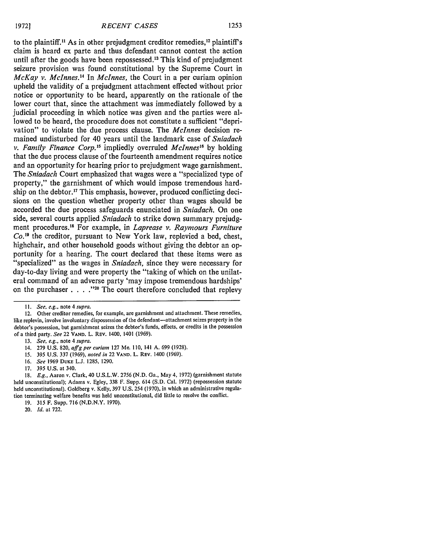to the plaintiff.<sup>11</sup> As in other prejudgment creditor remedies,<sup>12</sup> plaintiff's claim is heard ex parte and thus defendant cannot contest the action until after the goods have been repossessed.13 This kind of prejudgment seizure provision was found constitutional by the Supreme Court in *McKay v. Mclnnes."* In *Mclnnes,* the Court in a per curiam opinion upheld the validity of a prejudgment attachment effected without prior notice or opportunity to be heard, apparently on the rationale of the lower court that, since the attachment was immediately followed by a judicial proceeding in which notice was given and the parties were allowed to be heard, the procedure does not constitute a sufficient "deprivation" to violate the due process clause. The *Mclnnes* decision remained undisturbed for 40 years until the landmark case of *Sniadach v. Family Finance Corp.'5* impliedly overruled *Mclnnes"* by holding that the due process clause of the fourteenth amendment requires notice and an opportunity for hearing prior to prejudgment wage garnishment. The *Sniadach* Court emphasized that wages were a "specialized type of property," the garnishment of which would impose tremendous hardship on the debtor.<sup>17</sup> This emphasis, however, produced conflicting decisions on the question whether property other than wages should be accorded the due process safeguards enunciated in *Sniadach.* On one side, several courts applied *Sniadach* to strike down summary prejudgment procedures." For example, in *Laprease v. Raymours Furniture Co."* the creditor, pursuant to New York law, replevied a bed, chest, highchair, and other household goods without giving the debtor an opportunity for a hearing. The court declared that these items were as "specialized" as the wages in *Sniadach,* since they were necessary for day-to-day living and were property the "taking of which on the unilateral command of an adverse party 'may impose tremendous hardships' on the purchaser . . . .<sup>220</sup> The court therefore concluded that replevy

20. *Id.* at **722.**

*II. See, e.g.,* note 4 *supra.*

<sup>12.</sup> Other creditor remedies, for example, are garnishment and attachment. These remedies, like replevin, involve involuntary dispossession of the defendant-attachment seizes property in the debtor's possession, but garnishment seizes the debtor's funds, effects, or credits in the possession of a third party. *See* 22 **VAND. L.** REV. 1400, 1401 (1969).

<sup>13.</sup> *See, e.g.,* note 4 *supra.*

<sup>14. 279</sup> U.S. 820, *affg per curiam* 127 Me. 110, 141 A. 699 (1928).

*<sup>15.</sup>* **395** U.S. **337** (1969), *noted in* 22 **VAND.** L. REV. 1400 (1969).

**<sup>16.</sup>** *See* 1969 **DUKE L.J. 1285, 1290.**

**<sup>17.</sup> 395** U.S. at 340.

**<sup>18.</sup>** *E.g.,* Aaron v. Clark, 40 U.S.L.W. **2756** (N.D. Ga., May 4, 1972) (garnishment statute held unconstitutional); Adams v. Egley, **338** F. Supp. 614 (S.D. Cal. **1972)** (repossession statute held unconstitutional). Goldberg v. Kelly, **397 U.S.** 254 **(1970),** in which an administrative regulation terminating welfare benefits was held unconstitutional, did little to resolve the conflict.

<sup>19. 315</sup> F. Supp. **716** (N.D.N.Y. **1970).**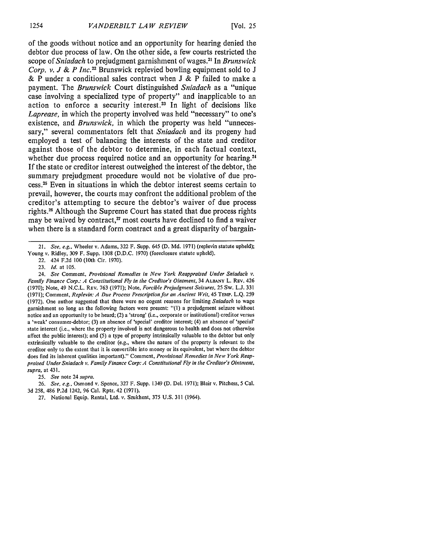of the goods without notice and an opportunity for hearing denied the debtor due process of law. On the other side, a few courts restricted the scope of *Sniadach* to prejudgment garnishment of wages.2 ' In *Brunswick Corp. v. J & P Inc.22* Brunswick replevied bowling equipment sold to **J &** P under a conditional sales contract when **J &** P failed to make a payment. The *Brunswick* Court distinguished *Sniadach* as a "unique case involving a specialized type of property" and inapplicable to an action to enforce a security interest.<sup>23</sup> In light of decisions like *Laprease,* in which the property involved was held "necessary" to one's existence, and *Brunswick,* in which the property was held "unnecessary," several commentators felt that *Sniadach* and its progeny had employed a test of balancing the interests of the state and creditor against those of the debtor to determine, in each factual context, whether due process required notice and an opportunity for hearing.<sup>24</sup> **If** the state or creditor interest outweighed the interest of the debtor, the summary prejudgment procedure would not be violative of due process. 25 Even in situations in which the debtor interest seems certain to prevail, however, the courts may confront the additional problem of the creditor's attempting to secure the debtor's waiver of due process rights.2 " Although the Supreme Court has stated that due process rights may be waived by contract,<sup>27</sup> most courts have declined to find a waiver when there is a standard form contract and a great disparity of bargain-

25. *See* note 24 *supra.*

26. *See, e.g.,* Osmond v. Spence, 327 F. Supp. 1349 (D. Del. 1971); Blair v. Pitchess, 5 Cal. 3d 258, 486 P.2d 1242, 96 Cal. Rptr. 42 (1971).

27. National Equip. Rental, Ltd. v. Szukhent, 375 U.S. 311 (1964).

<sup>21.</sup> *See, e.g.,* Wheeler v. Adams, 322 F. Supp. 645 (D. Md. 1971) (replevin statute upheld); Young v. Ridley, 309 F. Supp. 1308 (D.D.C. 1970) (foreclosure statute upheld).

<sup>22. 424</sup> F.2d 100 (10th Cir. 1970).

<sup>23.</sup> *Id.* at 105.

<sup>24.</sup> *See* Comment, *Provisional Remedies in New York Reappraised Under Sniadach v. Family Finance Corp.: A Constitutional Fly in the Creditor's Ointment,* 34 **ALBANY** L. REV. 426 (1970); Note, 49 N.C.L. REv. 763 (1971); Note, *Forcible Prejudgment Seizures,* 25 Sw. L.J. 331 (1971); Comment, *Replevin: A Due Process Prescription for an Ancient Writ,* 45 TEMP. L.Q. 259 (1972). One author suggested that there were no cogent reasons for limiting *Sniadach* to wage garnishment so long as the following factors were present: "(1) a prejudgment seizure without notice and an opportunity to be heard; (2) a 'strong' (i.e., corporate or institutional) creditor versus a 'weak' consumer-debtor; (3) an absence of 'special' creditor interest; (4) an absence of 'special' state interest (i.e., where the property involved is not dangerous to health and does not otherwise affect the public interest); and (5) a type of property intrinsically valuable to the debtor but only extrinsically valuable to the creditor (e.g., where the nature of the property is relevant to the creditor only to the extent that it is convertible into money or its equivalent, but where the debtor does find its inherent qualities important)." Comment, *Provisional Remedies in New York Reap*praised *Under* Sniadach v. *Family Finance Corp. A Constitutional Fly in the Creditor's Ointment, supra,* at 431.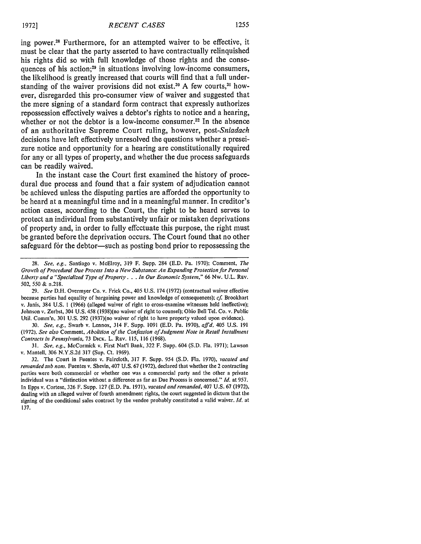ing power.<sup>28</sup> Furthermore, for an attempted waiver to be effective, it must be clear that the party asserted to have contractually relinquished his rights did so with full knowledge of those rights and the consequences of his action;<sup>29</sup> in situations involving low-income consumers, the likelihood is greatly increased that courts will find that a full understanding of the waiver provisions did not exist.<sup>30</sup> A few courts,<sup>31</sup> however, disregarded this pro-consumer view of waiver and suggested that the mere signing of a standard form contract that expressly authorizes repossession effectively waives a debtor's rights to notice and a hearing, whether or not the debtor is a low-income consumer.<sup>32</sup> In the absence of an authoritative Supreme Court ruling, however, *post-Sniadach* decisions have left effectively unresolved the questions whether a preseizure notice and opportunity for a hearing are constitutionally required for any or all types of property, and whether the due process safeguards can be readily waived.

In the instant case the Court first examined the history of procedural due process and found that a fair system of adjudication cannot be achieved unless the disputing parties are afforded the opportunity to be heard at a meaningful time and in a meaningful manner. In creditor's action cases, according to the Court, the right to be heard serves to protect an individual from substantively unfair or mistaken deprivations of property and, in order to fully effectuate this purpose, the right must be granted before the deprivation occurs. The Court found that no other safeguard for the debtor-such as posting bond prior to repossessing the

29. See D.H. Overmyer Co. v. Frick Co., 405 U.S. 174 (1972) (contractual waiver effective because parties had equality **of** bargaining power and knowledge of consequences); **cf** Brookhart v. Janis, 384 U.S. I (1966) (alleged waiver **of** right **to** cross-examine witnesses held ineffective); Johnson v. Zerbst, 304 U.S. 458 (1938)(no waiver of right to counsel); Ohio Bell Tel. Co. v. Public Util. Comm'n, 301 U.S. 292 (1937)(no waiver of right **to** have property valued upon evidence).

30. *See, e.g.,* Swarb v. Lennox, 314 F. Supp. 1091 (E.D. Pa. 1970), *affd, 405* U.S. 191 (1972). See also Comment, *Abolition of* **the Confession of Judgment Note** in Retail **Installment Contracts in** Pennsylvania, **73 DICK.** L. REV. 115, 116 (1968).

**31.** See, e.g., McCormick v. First Nat'l Bank, 322 F. Supp. 604 (S.D. Fla. 1971); Lawson v. Mantell, 306 N.Y.S.2d 317 (Sup. Ct. 1969).

32. The Court in Fuentes v. Faircloth, 317 F. Supp. 954 **(S.D.** Fla. 1970), **vacated and remanded** *sub* **noi.** Fuentes v. Shevin, 407 U.S. 67 (1972), declared that whether the 2 contracting parties were both commercial or whether one was a commercial party and the other a private individual was a "distinction without a difference as far as Due Process is concerned." *Id.* **at** 957. In Epps v. Cortese, 326 F. Supp. 127 (E.D. Pa. 1971), **vacated and remanded,** 407 U.S. 67 (1972), dealing with an alleged waiver of fourth amendment rights, the court suggested in dictum that the signing of the conditional sales contract **by** the vendee probably constituted a valid waiver. *Id.* **at** 137.

<sup>28.</sup> See, e.g., Santiago v. McElroy, 319 F. Supp. 284 (E.D. Pa. 1970); Comment, *The* **Growth** *of Procedural Due Process Into a New* Substance: *An* **Expanding** *Protection for* **Personal** Liberty and a "Specialized Type *of Property.* . . *In Our* Economic System," **66** Nw. U.L. REV. **502, 550** & n.218.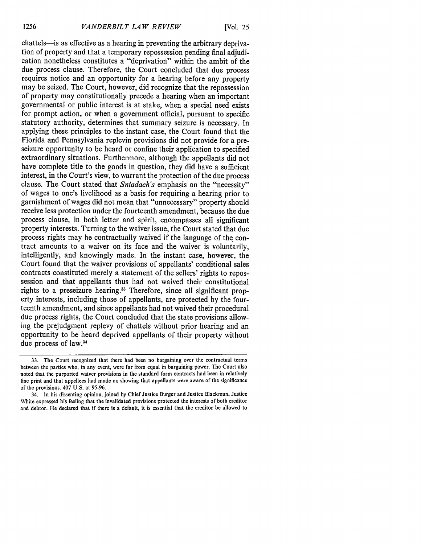chattels-is as effective as a hearing in preventing the arbitrary deprivation of property and that a temporary repossession pending final adjudication nonetheless constitutes a "deprivation" within the ambit of the due process clause. Therefore, the Court concluded that due process requires notice and an opportunity for a hearing before any property may be seized. The Court, however, did recognize that the repossession of property may constitutionally precede a hearing when an important governmental or public interest is at stake, when a special need exists for prompt action, or when a government official, pursuant to specific statutory authority, determines that summary seizure is necessary. In applying these principles to the instant case, the Court found that the Florida and Pennsylvania replevin provisions did not provide for a preseizure opportunity to be heard or confine their application to specified extraordinary situations. Furthermore, although the appellants did not have complete title to the goods in question, they did have a sufficient interest, in the Court's view, to warrant the protection of the due process clause. The Court stated that *Sniadach's* emphasis on the "necessity" of wages to one's livelihood as a basis for requiring a hearing prior to garnishment of wages did not mean that "unnecessary" property should receive less protection under the fourteenth amendment, because the due process clause, in both letter and spirit, encompasses all significant property interests. Turning to the waiver issue, the Court stated that due process rights may be contractually waived if the language of the contract amounts to a waiver on its face and the waiver is voluntarily, intelligently, and knowingly made. In the instant case, however, the Court found that the waiver provisions of appellants' conditional sales contracts constituted merely a statement of the sellers' rights to repossession and that appellants thus had not waived their constitutional rights to a preseizure hearing.<sup>33</sup> Therefore, since all significant property interests, including those of appellants, are protected by the fourteenth amendment, and since appellants had not waived their procedural due process rights, the Court concluded that the state provisions allowing the prejudgment replevy of chattels without prior hearing and an opportunity to be heard deprived appellants of their property without due process of law. <sup>34</sup>

<sup>33.</sup> The Court recognized that there had been no bargaining over the contractual terms between the parties who, in any event, were far from equal in bargaining power. The Court also noted that the purported waiver provisions in the standard form contracts had been in relatively fine print and that appellees had made no showing that appellants were aware of the significance of the provisions. 407 U.S. at 95-96.

<sup>34.</sup> In his dissenting opinion, joined by Chief Justice Burger and Justice Blackmun, Justice White expressed his feeling that the invalidated provisions protected the interests of both creditor and debtor. He declared that if there is a default, it is essential that the creditor be allowed to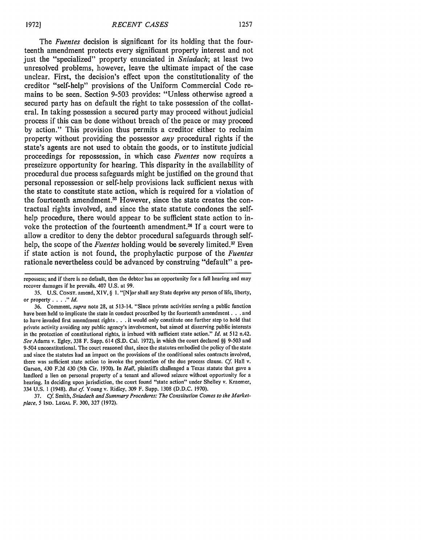The *Fuentes* decision is significant for its holding that the fourteenth amendment protects every significant property interest and not just the "specialized" property enunciated in *Sniadach;* at least two unresolved problems, however, leave the ultimate impact of the case unclear. First, the decision's effect upon the constitutionality of the creditor "self-help" provisions of the Uniform Commercial Code remains to be seen. Section **9-503** provides: "Unless otherwise agreed a secured party has on default the right to take possession of the collateral. In taking possession a secured party may proceed without judicial process if this can be done without breach of the peace or may proceed **by** action." This provision thus permits a creditor either to reclaim property without providing the possessor *any* procedural rights if the state's agents are not used to obtain the goods, or to institute judicial proceedings for repossession, in which case *Fuentes* now requires a preseizure opportunity for hearing. This disparity in the availability of procedural due process safeguards might be justified on the ground that personal repossession or self-help provisions lack sufficient nexus with the state to constitute state action, which is required for a violation of the fourteenth amendment.<sup>35</sup> However, since the state creates the contractual rights involved, and since the state statute condones the selfhelp procedure, there would appear to be sufficient state action to invoke the protection of the fourteenth amendment.<sup>36</sup> If a court were to allow a creditor to deny the debtor procedural safeguards through selfhelp, the scope of the *Fuentes* holding would be severely limited.<sup>37</sup> Even if state action is not found, the prophylactic purpose of the *Fuentes* rationale nevertheless could be advanced **by** construing "default" a pre-

repossess; and if there is no default, then the debtor has an opportunity for a full hearing and may recover damages if he prevails. 407 U.S. at 99.

<sup>35.</sup> U.S. CONST. amend, XIV, § **1.** "[N]or shall any State deprive any person of life, liberty, or property *.... " Id.*

<sup>36.</sup> Comment, *supra* note 28, at 513-14. "Since private activities serving a public function have been held to implicate the state in conduct proscribed **by** the fourteenth amendment. **. .** and to have invaded first amendment rights **. . .** it would only constitute one further step to hold that private activity avoiding any public agency's involvement, but aimed at disserving public interests in the protection of constitutional rights, is imbued with sufficient state action." *Id.* at 512 n.42. *See* Adams v. Egley, 338 F. Supp. 614 (S.D. Cal. 1972), in which the court declared **§§** 9-503 and 9-504 unconstitutional. The court reasoned that, since the statutes embodied the policy of the state and since the statutes **had** an impact on the provisions of the conditional sales contracts involved, there was sufficient state action to invoke the protection of the due process clause. Cf Hall v. Garson, 430 F.2d 430 (5th Cir. 1970). In *Hall,* plaintiffs challenged a Texas statute that gave a landlord a lien on personal property of a tenant and allowed seizure without opportunity for a hearing. In deciding upon jurisdiction, the court found "state action" under Shelley v. Kraemer, 334 U.S. 1 (1948). *But cf* Young v. Ridley, 309 F. Supp. 1308 (D.D.C. 1970).

**<sup>37.</sup>** *Cf* Smith, Sniadach *and Summary Procedures: The Constitution Comes to the Marketplace.* 5 **IND. LEGAL** F. 300, **327 (1972).**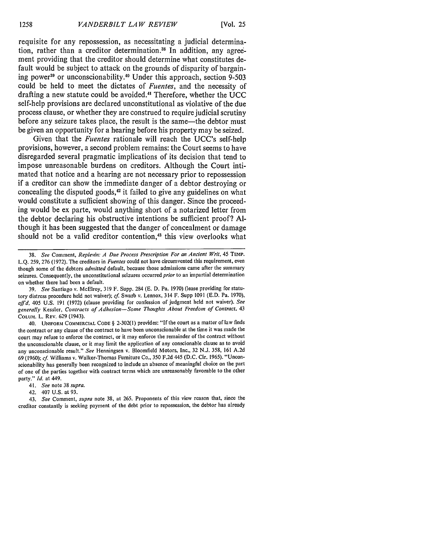requisite for any repossession, as necessitating a judicial determination, rather than a creditor determination.<sup>38</sup> In addition, any agreement providing that the creditor should determine what constitutes default would be subject to attack on the grounds of disparity of bargaining power<sup>39</sup> or unconscionability.<sup>40</sup> Under this approach, section 9-503 could be held to meet the dictates of *Fuentes,* and the necessity of drafting a new statute could be avoided. <sup>4</sup> ' Therefore, whether the **UCC** self-help provisions are declared unconstitutional as violative of the due process clause, or whether they are construed to require judicial scrutiny before any seizure takes place, the result is the same—the debtor must be given an opportunity for a hearing before his property may be seized.

Given that the *Fuentes* rationale will reach the UCC's self-help provisions, however, a second problem remains: the Court seems to have disregarded several pragmatic implications of its decision that tend to impose unreasonable burdens on creditors. Although the Court intimated that notice and a hearing are not necessary prior to repossession if a creditor can show the immediate danger of a debtor destroying or concealing the disputed goods,<sup>42</sup> it failed to give any guidelines on what would constitute a sufficient showing of this danger. Since the proceeding would be ex parte, would anything short of a notarized letter from the debtor declaring his obstructive intentions be sufficient proof? **Al**though it has been suggested that the danger of concealment or damage should not be a valid creditor contention,<sup>43</sup> this view overlooks what

39. *See* Santiago v. McElroy, 319 F. Supp. 284 (E. D. Pa. 1970) (lease providing for statutory distress procedure held not waiver); **cf.** Swarb v. Lennox, 314 F. Supp 1091 (E.D. Pa. 1970), *affd,* 405 U.S. 191 (1972) (clause providing for confession of judgment held not waiver). *See generally* Kessler, *Contracts of Adhesion-Some Thoughts About Freedom of Contract,* 43 COLUM. L. REV. 629 (1943).

40. **UNIFORM** COMMERCIAL **CODE** § 2-302(1) provides: "If the court as a matter of law finds the contract or any clause of the contract to have been unconscionable at the time it was made the court may refuse to enforce the contract, or it may enforce the remainder of the contract without the unconscionable clause, or it may limit the application of any conscionable clause as to avoid any unconscionable result." *See* Henningsen v. Bloomfield Motors, Inc., 32 N.J. 358, 161 A.2d 69 (1960); **cf.** Williams v. Walker-Thomas Furniture Co., 350 F.2d 445 (D.C. Cir. 1965). "Unconscionability has generally been recognized to include an absence of meaningful choice on the part of one of the parties together with contract terms which are unreasonably favorable to the other party." *Id.* at 449.

41. *See* note 38 *supra.*

42. 407 U.S. at 93.

43. *See* Comment, *supra* note 38, at 265. Proponents of this view reason that, since the creditor constantly is seeking payment of the debt prior to repossession, the debtor has already

<sup>38.</sup> *See* Comment, *Replevin: A Due Process Prescription For an Ancient Writ,* 45 **TEMP.** L.Q. 259, 276 (1972). The creditors in *Fuentes* could not have circumvented this requirement, even though some of the debtors *admitted* default, because those admissions came after the summary seizures. Consequently, the unconstitutional seizures occurred *prior* to an impartial determination on whether there had been a default.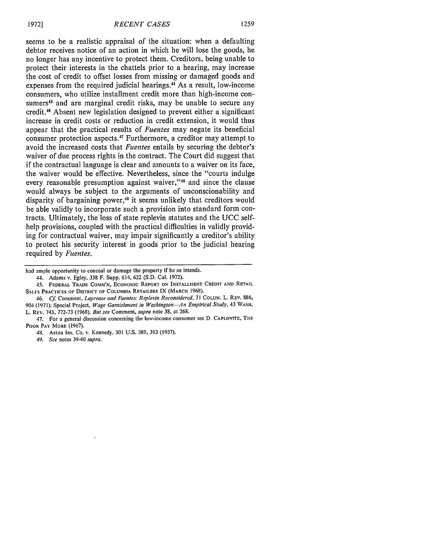seems to be a realistic appraisal of the situation: when a defaulting debtor receives notice of an action in which he will lose the goods, he no longer has any incentive to protect them. Creditors, being unable to protect their interests in the chattels prior to a hearing, may increase the cost of credit to offset losses from missing or damaged goods and expenses from the required judicial hearings.44 As a result, low-income consumers, who utilize installment credit more than high-income consumers<sup>45</sup> and are marginal credit risks, may be unable to secure any credit." Absent new legislation designed to prevent either a significant increase in credit costs or reduction in credit extension, it would thus appear that the practical results of *Fuentes* may negate its beneficial consumer protection aspects.47 Furthermore, a creditor may attempt to avoid the increased costs that *Fuentes* entails by securing the debtor's waiver of due process rights in the contract. The Court did suggest that if the contractual language is clear and amounts to a waiver on its face, the waiver would be effective. Nevertheless, since the "courts indulge every reasonable presumption against waiver,"<sup>48</sup> and since the clause would always be subject to the arguments of unconscionability and disparity of bargaining power,<sup>49</sup> it seems unlikely that creditors would be able validly to incorporate such a provision into standard form contracts. Ultimately, the loss of state replevin statutes and the UCC selfhelp provisions, coupled with the practical difficulties in validly providing for contractual waiver, may impair significantly a creditor's ability to protect his security interest in goods prior to the judicial hearing required by *Fuentes.*

46. *Cf* Comment, *Laprease and Fuentes: Replevin Reconsidered,* **71** COLUM. **L.** REv. 886, **904 (1971);** Special Project, *Wage Garnishment in Washington-An Empirical Study,* 43 **WASH.** L. REV. 743, **772-73 (1968).** *But see* Comment, *supra* note **38, at** 268.

**49.** *See* **notes** 39-40 *supra.*

had ample opportunity to conceal or damage the property if he so intends.

<sup>44.</sup> Adams v. Egley, **338** F. Supp. 614, **622 (S.D.** Cal. **1972).**

<sup>45.</sup> **FEDERAL TRADE** COMM'N, ECONOIIC **REPORT ON INSTALLMENT CREDIT AND RETAIL SALES** PRACTICES **OF** DISTRICT **OF COLUMBIA** RETAILERS **IX** (MARCH **1968).**

<sup>47.</sup> **For** a general discussion concerning **the** low-income consumer see **D.** CAPLOVITZ, THE POOR **PAY** MORE **(1967).**

<sup>48.</sup> Aetna Ins. Co. **v.** Kennedy, **301 U.S. 389, 393 (1937).**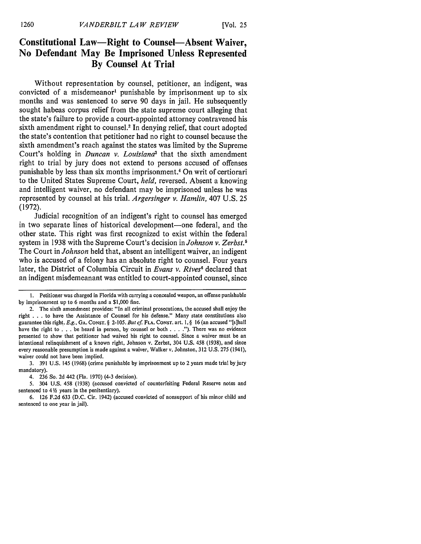### **Constitutional Law-Right to Counsel-Absent Waiver, No Defendant May Be Imprisoned Unless Represented By Counsel At Trial**

Without representation **by** counsel, petitioner, an indigent, was convicted of a misdemeanor' punishable **by** imprisonment up to six months and was sentenced to serve **90** days in jail. He subsequently sought habeas corpus relief from the state supreme court alleging that the state's failure to provide a court-appointed attorney contravened his sixth amendment right to counsel.<sup>2</sup> In denying relief, that court adopted the state's contention that petitioner had no right to counsel because the sixth amendment's reach against the states was limited **by** the Supreme Court's holding in *Duncan v. Louisiana3* that the sixth amendment right to trial **by** jury does not extend to persons accused of offenses punishable **by** less than six months imprisonment.4 On writ of certiorari to the United States Supreme Court, *held,* reversed. Absent a knowing and intelligent waiver, no defendant may be imprisoned unless he was represented **by** counsel at his trial. *Argersinger v. Hamlin,* 407 **U.S. 25 (1972).**

Judicial recognition of an indigent's right to counsel has emerged in two separate lines of historical development-one federal, and the other state. This right was first recognized to exist within the federal system in 1938 with the Supreme Court's decision in *Johnson v. Zerbst.*<sup>5</sup> The Court in *Johnson* held that, absent an intelligent waiver, an indigent who is accused of a felony has an absolute right to counsel. Four years later, the District of Columbia Circuit in *Evans v. Rives'* declared that an indigent misdemeanant was entitled to court-appointed counsel, since

3. 391 U.S. 145 (1968) (crime punishable **by** imprisonment up to 2 years made trial by jury mandatory).

5. 304 U.S. 458 (1938) (accused convicted of counterfeiting Federal Reserve notes and sentenced to 4 */2* years in the penitentiary).

6. 126 F.2d 633 (D.C. Cir. 1942) (accused convicted of nonsupport of his minor child and sentenced to one year in jail).

**<sup>1.</sup>** Petitioner was charged in Florida with carrying a concealed weapon, an offense punishable **by** imprisonment up to **6** months and a \$1,000 fine.

<sup>2.</sup> The sixth amendment provides: "In all criminal prosecutions, the accused shall enjoy the right . . . to have the Assistance of Counsel for his defense." Many state constitutions also guarantee this right. **E.g., GA. CONST.** § 2-105. **But cf FLA. CONST.** art. **1,** § 16 (an accused "[s]hall have the right to **. . .** be heard in person, **by** counsel or both **.... ").** There was no evidence presented to show that petitioner had waived his right to counsel. Since a waiver must be an intentional relinquishment of a known right, Johnson v. Zerbst, 304 U.S. 458 (1938), and since every reasonable presumption is made against a waiver, Walker v. Johnston, 312 U.S. 275 (1941), waiver could not have been implied.

<sup>4. 236</sup> So. 2d 442 (Fla. 1970) (4-3 decision).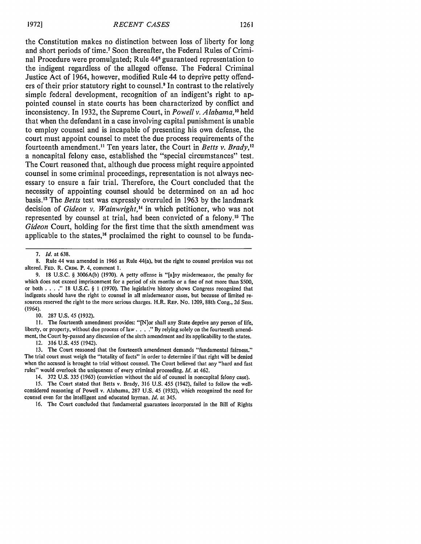the Constitution makes no distinction between loss of liberty for long and short periods of time.7 Soon thereafter, the Federal Rules of Criminal Procedure were promulgated; Rule **448** guaranteed representation to the indigent regardless of the alleged offense. The Federal Criminal Justice Act of 1964, however, modified Rule 44 to deprive petty offenders of their prior statutory right to counsel.<sup>9</sup> In contrast to the relatively simple federal development, recognition of an indigent's right to appointed counsel in state courts has been characterized **by** conflict and inconsistency. In **1932,** the Supreme Court, in *Powell v. Alabama,"0* held that when the defendant in a case involving capital punishment is unable to employ counsel and is incapable of presenting his own defense, the court must appoint counsel to meet the due process requirements of the fourteenth amendment.<sup>11</sup> Ten years later, the Court in *Betts v. Brady*,<sup>12</sup> a noncapital felony case, established the "special circumstances" test. The Court reasoned that, although due process might require appointed counsel in some criminal proceedings, representation is not always necessary to ensure a fair trial. Therefore, the Court concluded that the necessity of appointing counsel should be determined on an ad hoc basis. 3 The *Betts* test was expressly overruled in **1963 by** the landmark decision of *Gideon v. Wainwright,"* in which petitioner, who was not represented by counsel at trial, had been convicted of a felony.<sup>15</sup> The *Gideon* Court, holding for the first time that the sixth amendment was applicable to the states,<sup>16</sup> proclaimed the right to counsel to be funda-

10. 287 U.S. 45 (1932).

II. The fourteenth amendment provides: "[N]or shall any State deprive any person of life, liberty, or property, without due process of law . . . . " By relying solely on the fourteenth amendment, the Court by-passed any discussion of the sixth amendment and its applicability to the states.

12. 316 U.S. 455 (1942).

13. The Court reasoned that the fourteenth amendment demands "fundamental fairness." The trial court must weigh the "totality of facts" in order to determine if that right will be denied when the accused is brought to trial without counsel. The Court believed that any "hard and fast rules" would overlook the uniqueness of every criminal proceeding. *Id.* at 462.

14. 372 U.S. 335 (1963) (conviction without the aid of counsel in noncapital felony case).

15. The Court stated that Betts v. Brady, 316 U.S. 455 (1942), failed to follow the wellconsidered reasoning of Powell v. Alabama, 287 U.S. 45 (1932), which recognized the need for counsel even for the intelligent and educated layman. *Id.* at 345.

16. The Court concluded that fundamental guarantees incorporated in the Bill of Rights

**<sup>7.</sup>** *Id.* at 638.

<sup>8.</sup> Rule 44 was amended in **1966** as Rule 44(a), but the right to counsel provision was not altered. **FED.** R. CRIM. P. 4, comment 1.

<sup>9. 18</sup> U.S.C. § 3006A(b) (1970). A petty offense is "[a]ny misdemeanor, the penalty for which does not exceed imprisonment for a period of six months or a fine of not more than \$500, or both. **...** 18 U.S.C. § 1 (1970). The legislative history shows Congress recognized that indigents should have the right to counsel in all misdemeanor cases, but because of limited resources reserved the right to the more serious charges. H.R. **REP.** No. 1209, 88th Cong., 2d Sess. (1964).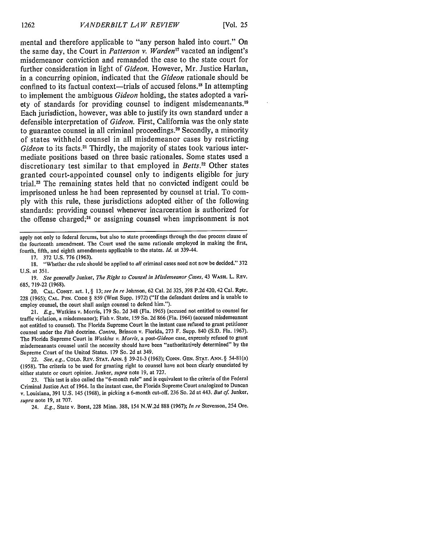mental and therefore applicable to "any person haled into court." On the same day, the Court in *Patterson v. Warden*<sup>17</sup> vacated an indigent's misdemeanor conviction and remanded the case to the state court for further consideration in light of *Gideon.* However, Mr. Justice Harlan, in a concurring opinion, indicated that the *Gideon* rationale should be confined to its factual context—trials of accused felons.<sup>18</sup> In attempting to implement the ambiguous *Gideon* holding, the states adopted a variety of standards for providing counsel to indigent misdemeanants.<sup>19</sup> Each jurisdiction, however, was able to justify its own standard under a defensible interpretation of *Gideon.* First, California was the only state to guarantee counsel in all criminal proceedings."0 Secondly, a minority of states withheld counsel in all misdemeanor cases **by** restricting Gideon to its facts.<sup>21</sup> Thirdly, the majority of states took various intermediate positions based on three basic rationales. Some states used a discretionary test similar to that employed in *Betts*.<sup>22</sup> Other states granted court-appointed counsel only to indigents eligible for jury trial.23 The remaining states held that no convicted indigent could be imprisoned unless he had been represented **by** counsel at trial. To com**ply** with this rule, these jurisdictions adopted either of the following standards: providing counsel whenever incarceration is authorized for the offense charged;<sup>24</sup> or assigning counsel when imprisonment is not

apply not only to federal forums, but also to state proceedings through the due process clause of the fourteenth amendment. The Court used the same rationale employed in making the first, fourth, fifth, and eighth amendments applicable to the states. *Id.* at 339-44.

17. 372 U.S. 776 (1963).

18. "Whether.the rule should be applied to *all* criminal cases need not now be decided." 372 U.S. at 351.

19. *See generally Junker, The Right to Counsel in Misdemeanor Cases, 43 WASH. L. REV.* 685, 719-22 (1968).

20. **CAL. CONST.** art. **1,** § 13; *see In re* Johnson, 62 Cal. 2d 325, 398 P.2d 420,42 Cal. Rptr. 228 (1965); **CAL. PEN. CODE** § 859 (West Supp. 1972) ("If the defendant desires and is unable to employ counsel, the court shall assign counsel to defend him.").

21. *E.g.,* Watkins v. Morris, 179 So. 2d 348 (Fla. 1965) (accused not entitled to counsel for traffic violation, a misdemeanor); Fish v. State, 159 So. 2d 866 (Fla. 1964) (accused misdemeanant not entitled to counsel). The Florida Supreme Court in the instant case refused to grant petitioner counsel under the *Fish* doctrine. *Contra,* Brinson v. Florida, 273 F. Supp. 840 (S.D. Fla. 1967). The Florida Supreme Court in *Watkins v. Morris, a post-Gideon* case, expressly refused to grant misdemeanants counsel until the necessity should have been "authoritatively determined" by the Supreme Court of the United States. 179 So. 2d at 349.

22. *See, e.g.,* **COLO.** REV. **STAT. ANN.** § 39-21-3 (1963); **CONN.** GEN. **STAT. ANN.** § 54-81(a) (1958). The criteria to be used for granting right to counsel have not been clearly enunciated **by** either statute or court opinion. Junker, *supra* note 19, at 727.

23. This test is also called the "6-month rule" and is equivalent to the criteria of the Federal Criminal Justice Act of 1964. In the instant case, the Florida Supreme Court analogized to Duncan v. Louisiana, 391 U.S. 145 (1968), in picking a 6-month cut-off. 236 So. 2d at 443. *But cf.* Junker, *supra* note 19, at 707.

24. *E.g.,* State v. Borst, 228 Minn. 388, 154 N.W.2d 888 (1967); *In re* Stevenson, 254 Ore.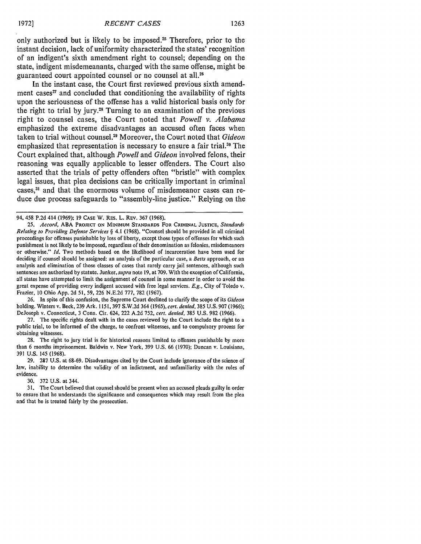only authorized but is likely to be imposed.<sup>25</sup> Therefore, prior to the instant decision, lack of uniformity characterized the states' recognition of an indigent's sixth amendment right to counsel; depending on the state, indigent misdemeanants, charged with the same offense, might be guaranteed court appointed counsel or no counsel at all.<sup>26</sup>

In the instant case, the Court first reviewed previous sixth amendment cases $27$  and concluded that conditioning the availability of rights upon the seriousness of the offense has a valid historical basis only for the right to trial **by** jury.21 Turning to an examination of the previous right to counsel cases, the Court noted that *Powell v. Alabama* emphasized the extreme disadvantages an accused often faces when taken to trial without counsel.<sup>29</sup> Moreover, the Court noted that *Gideon* emphasized that representation is necessary to ensure a fair trial.<sup>30</sup> The Court explained that, although *Powell* and *Gideon* involved felons, their reasoning was equally applicable to lesser offenders. The Court also asserted that the trials of petty offenders often "bristle" with complex legal issues, that plea decisions can be critically important in criminal cases, 31 and that the enormous volume of misdemeanor cases can reduce due process safeguards to "assembly-line justice." Relying on the

**26.** In spite of this confusion, the Supreme Court declined to clarify the scope of its *Gideon* holding. Winters v. Beck, 239 Ark. 1151,397 S.W.2d 364 (1965), cert. *denied,* 385 U.S. **907** (1966); DeJoseph v. Connecticut, 3 Conn. Cir. 624, 222 A.2d 752, *cert. denied,* 385 **U.S.** 982 (1966).

27. The specific rights dealt with in the cases reviewed **by** the Court include the right to a public trial, to be informed of the charge, to confront witnesses, and to compulsory process for obtaining witnesses.

**28.** The right to jury trial is for historical reasons limited to offenses punishable **by** more than 6 months imprisonment. Baldwin v. New York, 399 U.S. 66 (1970); Duncan v. Louisiana, 391 U.S. 145 (1968).

29. **297 U.S.** at 68-69. Disadvantages cited **by** the Court include ignorance of the science of law, inability to determine the validity of an indictment, and unfamiliarity with the rules of evidence.

30. 372 **U.S.** at 344.

**31.** The Court believed that counsel should be present when an accused pleads guilty in order to ensure that he understands the significance and consequences which may result from the plea and that he is treated fairly **by** the prosecution.

<sup>94, 458</sup> **P.2d** 414 **(1969); 19** CASE W. RES. L. REv. 367 (1968).

**<sup>25.</sup>** *Accord,* **ABA PROJECT ON MINIMUM STANDARDS** FOR CRIMINAL **JUSTICE,** *Standards* Relating *to* Providing Defense Services *§* 4.1 (1968). "Counsel should be provided in all criminal proceedings for offenses punishable **by** loss of liberty, except those types of offenses for which such punishment is not likely to be imposed, regardless of their denomination as felonies, misdemeanors or otherwise." *Id.* Two methods based on the likelihood of incarceration have been used for deciding if counsel should be assigned: an analysis of the particular case, a *Betts* approach, or an analysis and elimination of those classes of cases that rarely carry jail sentences, although such sentences are authorized **by** statute. Junker, *supra* note **19,** at **709.** With the exception of California, all states have attempted to limit the assignment of counsel in some manner in order to avoid the great expense of providing every indigent accused with free legal services. *E.g.,* City of Toledo v. Frazier, 10 Ohio App. 2d 51, 59, 226 N.E.2d 777, **782** (1967).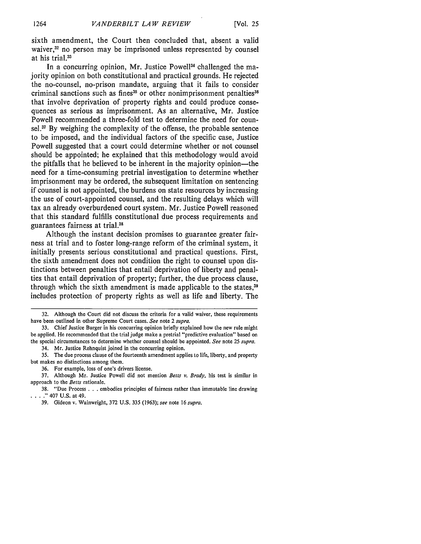sixth amendment, the Court then concluded that, absent a valid waiver, $32$  no person may be imprisoned unless represented by counsel at his trial.<sup>33</sup>

In a concurring opinion, Mr. Justice Powell<sup>34</sup> challenged the majority opinion on both constitutional and practical grounds. He rejected the no-counsel, no-prison mandate, arguing that it fails to consider criminal sanctions such as fines<sup>35</sup> or other nonimprisonment penalties<sup>36</sup> that involve deprivation of property rights and could produce consequences as serious as imprisonment. As an alternative, Mr. Justice Powell recommended a three-fold test to determine the need for counsel. $37$  By weighing the complexity of the offense, the probable sentence to be imposed, and the individual factors of the specific case, Justice Powell suggested that a court could determine whether or not counsel should be appointed; he explained that this methodology would avoid the pitfalls that he believed to be inherent in the majority opinion—the need for a time-consuming pretrial investigation to determine whether imprisonment may be ordered, the subsequent limitation on sentencing if counsel is not appointed, the burdens on state resources by increasing the use of court-appointed counsel, and the resulting delays which will tax an already overburdened court system. Mr. Justice Powell reasoned that this standard fulfills constitutional due process requirements and guarantees fairness at trial. <sup>38</sup>

Although the instant decision promises to guarantee greater fairness at trial and to foster long-range reform of the criminal system, it initially presents serious constitutional and practical questions. First, the sixth amendment does not condition the right to counsel upon distinctions between penalties that entail deprivation of liberty and penalties that entail deprivation of property; further, the due process clause, through which the sixth amendment is made applicable to the states,<sup>39</sup> includes protection of property rights as well as life and liberty. The

36. For example, loss of one's drivers license.

<sup>32.</sup> Although the Court did not discuss the criteria for a valid waiver, these requirements have been outlined in other Supreme Court cases. *See* note 2 *supra.*

<sup>33.</sup> Chief Justice Burger in his concurring opinion briefly explained how the new rule might be applied. He recommended that the trial judge make a pretrial "predictive evaluation" based on the special circumstances to determine whether counsel should be appointed. *See* note 25 *supra.* 34. Mr. Justice Rehnquist joined in the concurring opinion.

**<sup>35.</sup>** The due process clause of the fourteenth amendment applies to life, liberty, and property but makes no distinctions among them.

<sup>37.</sup> Although Mr. Justice Powell did not mention *Betts v. Brady,* his test is similar in approach to the *Betts* rationale.

<sup>38. &</sup>quot;Due Process **. .** . embodies principles of fairness rather than immutable line drawing **."** 407 U.S. at 49.

<sup>39.</sup> Gideon v. Wainwright, 372 U.S. 335 (1963); *see* note 16 *supra.*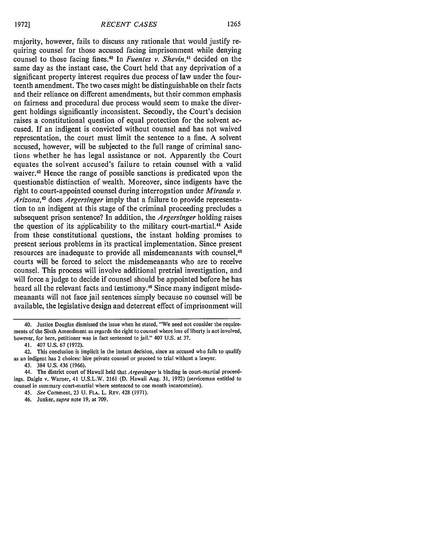majority, however, fails to discuss any rationale that would justify requiring counsel for those accused facing imprisonment while denying counsel to those facing fines." In *Fuentes v. Shevin,4'* decided on the same day as the instant case, the Court held that any deprivation of a significant property interest requires due process of law under the fourteenth amendment. The two cases might be distinguishable on their facts and their reliance on different amendments, but their common emphasis on fairness and procedural due process would seem to make the divergent holdings significantly inconsistent. Secondly, the Court's decision raises a constitutional question of equal protection for the solvent accused. If an indigent is convicted without counsel and has not waived representation, the court must limit the sentence to a fine. A solvent accused, however, will be subjected to the full range of criminal sanctions whether he has legal assistance or not. Apparently the Court equates the solvent accused's failure to retain counsel with a valid waiver.<sup>42</sup> Hence the range of possible sanctions is predicated upon the questionable distinction of wealth. Moreover, since indigents have the right to court-appointed counsel during interrogation under *Miranda v. Arizona,43* does *Argersinger* imply that a failure to provide representation to an indigent at this stage of the criminal proceeding precludes a subsequent prison sentence? In addition, the *Argersinger* holding raises the question of its applicability to the military court-martial.<sup>44</sup> Aside from these constitutional questions, the instant holding promises to present serious problems in its practical implementation. Since present resources are inadequate to provide all misdemeanants with counsel,<sup>45</sup> courts will be forced to select the misdemeanants who are to receive counsel. This process will involve additional pretrial investigation, and will force a judge to decide if counsel should be appointed before he has heard all the relevant facts and testimony.<sup>46</sup> Since many indigent misdemeanants will not face jail sentences simply because no counsel will be available, the legislative design and deterrent effect of imprisonment will

<sup>40.</sup> Justice Douglas dismissed the issue when he stated, "We need not consider the requirements of the Sixth Amendment as regards the right to counsel where loss of liberty is not involved, however, for here, petitioner was in fact sentenced to jail." 407 U.S. at 37.

<sup>41. 407</sup> U.S. 67 (1972).

<sup>42.</sup> This conclusion is implicit in the instant decision, since an accused who fails to qualify as an indigent has 2 choices: hire private counsel or proceed to trial without a lawyer.

<sup>43. 384</sup> U.S. 436 (1966).

<sup>44.</sup> The district court of Hawaii held that *Argersinger* is binding in court-martial proceedings. Daigle v. Warner, 41 U.S.L.W. 2161 (D. Hawaii Aug. 31, 1972) (serviceman entitled to counsel in summary court-martial where sentenced to one month incarceration).

<sup>45.</sup> *See* Comment, 23 U. **FLA.** L. REv. 428 (1971).

<sup>46.</sup> Junker, *supra* note 19, at 709.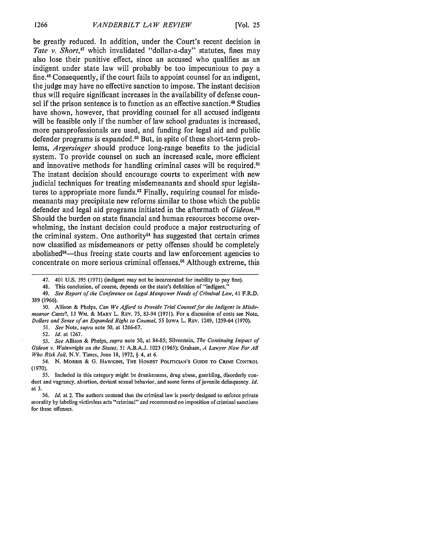be greatly reduced. In addition, under the Court's recent decision in *Tate v. Short,47* which invalidated "dollar-a-day" statutes, fines may also lose their punitive effect, since an accused who qualifies as an indigent under state law will probably be too impecunious to pay a fine.<sup>48</sup> Consequently, if the court fails to appoint counsel for an indigent, the judge may have no effective sanction to impose. The instant decision thus will require significant increases in the availability of defense counsel if the prison sentence is to function as an effective sanction.<sup>49</sup> Studies have shown, however, that providing counsel for all accused indigents will be feasible only if the number of law school graduates is increased, more paraprofessionals are used, and funding for legal aid and public defender programs is expanded.<sup>50</sup> But, in spite of these short-term problems, *Argersinger* should produce long-range benefits to the judicial system. To provide counsel on such an increased scale, more efficient and innovative methods for handling criminal cases will be required.<sup>5</sup> The instant decision should encourage courts to experiment with new judicial techniques for treating misdemeanants and should spur legislatures to appropriate more funds.<sup>52</sup> Finally, requiring counsel for misdemeanants may precipitate new reforms similar to those which the public defender and legal aid programs initiated in the aftermath of *Gideon.53* Should the burden on state financial and human resources become overwhelming, the instant decision could produce a major restructuring of the criminal system. One authority $54$  has suggested that certain crimes now classified as misdemeanors or petty offenses should be completely abolished<sup>55</sup>—thus freeing state courts and law enforcement agencies to concentrate on more serious criminal offenses.<sup>56</sup> Although extreme, this

- 50. Allison & Phelps, *Can We Afford to Provide Trial Counsel for the Indigent in Misdemeanor Cases?,* 13 WM. & MARY L. REv. **75,** 83-94 (1971). For a discussion of costs see Note, *Dollars and Sense of an Expanded Right to Counsel, 55* IOWA L. REv. 1249, 1259-64 (1970).
	- *51. See* Note, *supra* note 50, at 1266-67.

52. *Id.* at 1267.

*53. See* Allison **&** Phelps, *supra* note 50, at 84-85; Silverstein, *The Continuing Impact of Gideon v. Wainwright on the States,* 51 A.B.A.J. 1023 (1965); Graham, *A Lawyer Now For All Who Risk Jail,* N.Y. Times, June 18, 1972, § 4, at 6.

54. **N. MORRIS** & **G. HAWKINS, THE HONEST POLITICIAN'S GUIDE TO** CRIIE CONTROL (1970).

**55.** Included in this category might be drunkenness, drug abuse, gambling, disorderly conduct and vagrancy, abortion, deviant sexual behavior, and some forms of juvenile delinquency. *Id.* at 3.

*56. Id.* at 2. The authors contend that the criminal law is poorly designed to enforce private morality by labeling victimless acts "criminal" and recommend no imposition of criminal sanctions for these offenses.

<sup>47. 401</sup> U.S. 395 (1971) (indigent may not be incarcerated for inability to pay fine).

<sup>48.</sup> This conclusion, of course, depends on the state's definition of "indigent."

*<sup>49.</sup> See Report of the Conference on Legal Manpower Needs of* Criminal Law, 41 F.R.D. 389 (1966).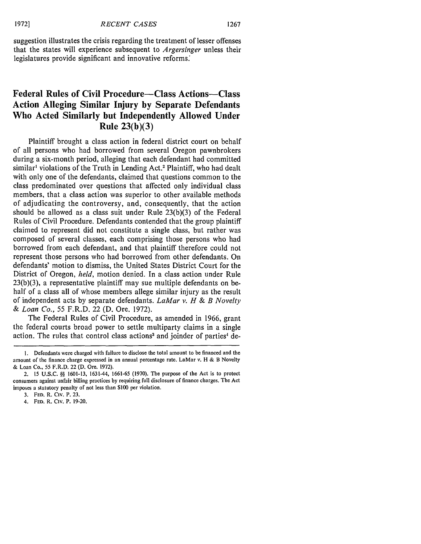suggestion illustrates the crisis regarding the treatment of lesser offenses that the states will experience subsequent to *Argersinger* unless their legislatures provide significant and innovative reforms:

### **Federal Rules of Civil Procedure-Class Actions-Class Action Alleging Similar Injury by Separate Defendants Who Acted Similarly but Independently Allowed Under Rule 23(b)(3)**

Plaintiff brought a class action in federal district court on behalf of all persons who had borrowed from several Oregon pawnbrokers during a six-month period, alleging that each defendant had committed similar<sup>1</sup> violations of the Truth in Lending Act.<sup>2</sup> Plaintiff, who had dealt with only one of the defendants, claimed that questions common to the class predominated over questions that affected only individual class members, that a class action was superior to other available methods of adjudicating the controversy, and, consequently, that the action should be allowed as a class suit under Rule 23(b)(3) of the Federal Rules of Civil Procedure. Defendants contended that the group plaintiff claimed to represent did not constitute a single class, but rather was composed of several classes, each comprising those persons who had borrowed from each defendant, and that plaintiff therefore could not represent those persons who had borrowed from other defendants. On defendants' motion to dismiss, the United States District Court for the District of Oregon, *held,* motion denied. In a class action under Rule 23(b)(3), a representative plaintiff may sue multiple defendants on behalf of a class all of whose members allege similar injury as the result of independent acts by separate defendants. *LaMar v. H & B Novelty & Loan Co.,* 55 F.R.D. 22 (D. Ore. 1972).

The Federal Rules of Civil Procedure, as amended in 1966, grant the federal courts broad power to settle multiparty claims in a single action. The rules that control class actions<sup>3</sup> and joinder of parties<sup>4</sup> de-

I. Defendants were charged with failure to disclose the total amount to be financed and the amount of the finance charge expressed in an annual percentage rate. LaMar v. H & B Novelty & Loan Co., 55 F.R.D. 22 (D. Ore. 1972).

<sup>2. 15</sup> U.S.C. **§§** 1601-13, 1631-44, **1661-65** (1970). The purpose of the Act is to protect consumers against unfair billing practices by requiring full disclosure of finance charges. The Act imposes a statutory penalty of not less than \$100 per violation.

**<sup>3.</sup> FED.** R. **Civ.** P. **23.**

<sup>4.</sup> **FED.** R. **Civ.** P. **19-20.**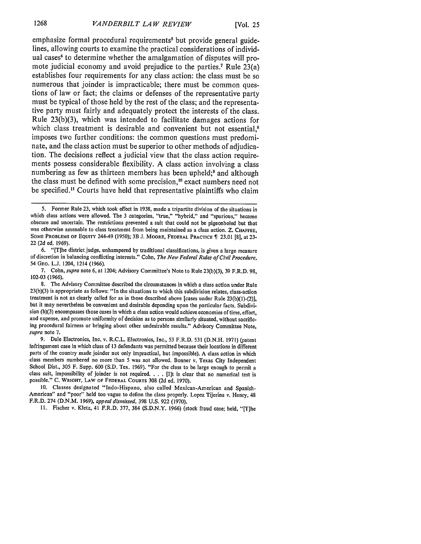emphasize formal procedural requirements<sup>5</sup> but provide general guidelines, allowing courts to examine the practical considerations of individual cases' to determine whether the amalgamation of disputes will promote judicial economy and avoid prejudice to the parties.<sup>7</sup> Rule  $23(a)$ establishes four requirements for any class action: the class must be so numerous that joinder is impracticable; there must be common questions of law or fact; the claims or defenses of the representative party must be typical of those held **by** the rest of the class; and the representative party must fairly and adequately protect the interests of the class. Rule **23(b)(3),** which was intended to facilitate damages actions for which class treatment is desirable and convenient but not essential.<sup>8</sup> imposes two further conditions: the common questions must predominate, and the class action must be superior to other methods of adjudication. The decisions reflect a judicial view that the class action requirements possess considerable flexibility. **A** class action involving a class numbering as few as thirteen members has been upheld;<sup>9</sup> and although the class must be defined with some precision,<sup>10</sup> exact numbers need not be specified.<sup>11</sup> Courts have held that representative plaintiffs who claim

6. "[T]he district judge, unhampered by traditional classifications, is given a large measure of discretion in balancing conflicting interests." Cohn, *The New Federal Rules of Civil Procedure,* 54 GEo. L.J. 1204, 1214 (1966).

<sup>5.</sup> Former Rule 23, which took effect in 1938, made a tripartite division of the situations in which class actions were allowed. The 3 categories, "true," "hybrid," and "spurious," hecame obscure and uncertain. The restrictions prevented a suit that could not be pigeonholed but that was otherwise amenable to class treatment from being maintained as a class action. Z. **CHAFFEE, SOME PROBLEMS OF EQUITY** 244-49 (1950); 3B **J.** MOORE, **FEDERAL PRACTICE 1 23.01** [8], at 23- 22 (2d ed. 1969).

<sup>7.</sup> Cohn, *supra* note 6, at 1204; Advisory Committee's Note to Rule 23(b)(3), 39 F.R.D. 98, 102-03 (1966).

<sup>8.</sup> The Advisory Committee described the circumstances in which a class action under Rule 23(b)(3) is appropriate as follows: "In the situations to which this subdivision relates, class-action treatment is not as clearly called for as in those described above [cases under Rule 23(b)(l)-(2)], but it may nevertheless be convenient and desirable depending upon the particular facts. Subdivision (b)(3) encompasses those cases in which a class action would achieve economies of time, effort, and expense, and promote uniformity of decision as to persons similarly situated, without sacrificing procedural fairness or bringing about other undesirable results." Advisory Committee Note, *supra* note 7.

<sup>9.</sup> Dale Electronics, Inc. v. R.C.L. Electronics, Inc., 53 F.R.D. 531 (D.N.H. 1971) (patent infringement case in which class of 13 defendants was permitted because their locations in different parts of the country made joinder not only impractical, but impossible). A class action in which class members numbered no more than 5 was not allowed. Bonner v. Texas City Independent School Dist., 305 F. Supp. 600 (S.D. Tex. 1969). "For the class to be large enough to permit a class suit, impossibility of joinder is not required. . . . [I]t is clear that no numerical test is possible." **C.** WRIGHT, **LAW** OF **FEDERAL** COURTS **308** (2d ed. 1970).

**<sup>10.</sup>** Classes designated "Indo-Hispano, also called Mexican-American and Spanish-American" and "poor" held too vague to define the class properly. Lopez Tijerina v. Henry, 48 F.R.D. 274 (D.N.M. 1969), *appeal dismissed,* 398 U.S. 922 (1970).

**<sup>11.</sup>** Fischer v. Kletz, 41 F.R.D. 377, 384 (S.D.N.Y. 1966) (stock fraud case; held, "[T]he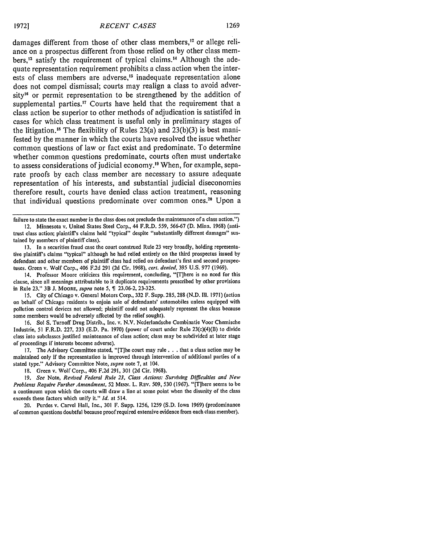damages different from those of other class members,<sup>12</sup> or allege reliance on a prospectus different from those relied on by other class members,<sup>13</sup> satisfy the requirement of typical claims.<sup>14</sup> Although the adequate representation requirement prohibits a class action when the interests of class members are adverse,<sup> $15$ </sup> inadequate representation alone does not compel dismissal; courts may realign a class to avoid adversity<sup>16</sup> or permit representation to be strengthened by the addition of supplemental parties.<sup>17</sup> Courts have held that the requirement that a class action be superior to other methods of adjudication is satistifed in cases for which class treatment is useful only in preliminary stages of the litigation.<sup>18</sup> The flexibility of Rules 23(a) and 23(b)(3) is best manifested by the manner in which the courts have resolved the issue whether common questions of law or fact exist and predominate. To determine whether common questions predominate, courts often must undertake to assess considerations of judicial economy.19 When, for example, separate proofs by each class member are necessary to assure adequate representation of his interests, and substantial judicial diseconomies therefore result, courts have denied class action treatment, reasoning that individual questions predominate over common ones.<sup>20</sup> Upon a

failure to state the exact number in the class does not preclude the maintenance of a class action.") 12. Minnesota v. United States Steel Corp., 44 F.R.D. 559, 566-67 (D. Minn. 1968) (antitrust class action; plaintiff's claims held "typical" despite "substantially different damages" sustained by members of plaintiff class).

13. In a securities fraud case the court construed Rule 23 very broadly, holding representative plaintiff's claims "typical" although he had relied entirely on the third prospectus issued by defendant and other members of plaintiff class had relied on defendant's first and second prospectuses. Green v. Wolf Corp., 406 F.2d 291 (2d Cir. 1968), *cert. denied,* 395 U.S. 977 (1969).

14. Professor Moore criticizes this requirement, concluding, "[T]here is no need for this clause, since all meanings attributable to it duplicate requirements prescribed by other provisions in Rule 23." 3B J. **MOORE,** *supra* note 5, 23.06-2, 23-325.

15. City of Chicago v. General Motors Corp., 332 F. Supp. 285, 288 (N.D. **I11.** 1971) (action on behalf of Chicago residents to enjoin sale of defendants' automobiles unless equipped with pollution control devices not allowed; plaintiff could not adequately represent the class because some members would be adversely affected by the relief sought).

16. Sol S. Turnoff Drug Distrib., Inc. v. N.V. Nederlandsche Combinatie Voor Chemische Industrie, 51 F.R.D. 227, 233 (E.D. Pa. 1970) (power of court under Rule 23(c)(4)(B) to divide class into subclasses justified maintenance of class action; class may be subdivided at later stage of proceedings if interests become adverse).

17. The Advisory Committee stated, "[T]he court may rule. **. .** that a class action may be maintained only if the representation is improved through intervention of additional parties of a stated type." Advisory Committee Note, *supra* note 7, at 104.

18. Green v. Wolf Corp., 406 F.2d 291, 301 (2d Cir. 1968).

19. *See* Note, *Revised Federal Rule 23, Class Actions: Surviving Difficulties and New Problems Require Further Amendment,* 52 MINN. L. REv. 509, 530 (1967). "[T]here seems to be a continuum upon which the courts will draw a line at some point when the disunity of the class exceeds these factors which unify it." *Id.* at 514.

20. Purdes v. Carvel Hall, Inc., 301 F. Supp. 1256, 1259 (S.D. Iowa 1969) (predominance of common questions doubtful because proof required extensive evidence from each class member).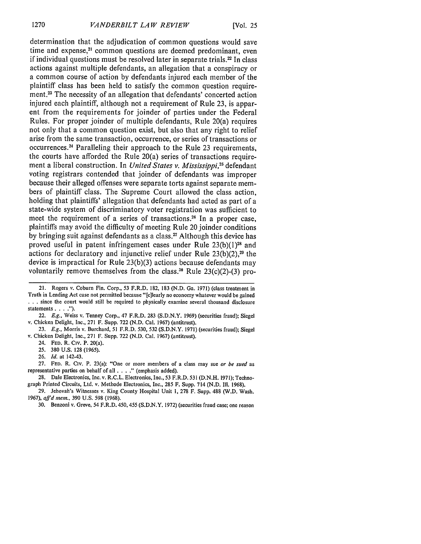determination that the adjudication of common questions would save time and expense,<sup>21</sup> common questions are deemed predominant, even if individual questions must be resolved later in separate trials.<sup>22</sup> In class actions against multiple defendants, an allegation that a conspiracy or a common course of action by defendants injured each member of the plaintiff class has been held to satisfy the common question requirement.<sup>23</sup> The necessity of an allegation that defendants' concerted action injured each plaintiff, although not a requirement of Rule 23, is apparent from the requirements for joinder of parties under the Federal Rules. For proper joinder of multiple defendants, Rule 20(a) requires not only that a common question exist, but also that any right to relief arise from the same transaction, occurrence, or series of transactions or occurrences. 4 Paralleling their approach to the Rule 23 requirements, the courts have afforded the Rule 20(a) series of transactions requirement a liberal construction. In *United States v. Mississippi*.<sup>25</sup> defendant voting registrars contended that joinder of defendants was improper because their alleged offenses were separate torts against separate members of plaintiff class. The Supreme Court allowed the class action, holding that plaintiffs' allegation that defendants had acted as part of a state-wide system of discriminatory voter registration was sufficient to meet the requirement of a series of transactions.<sup>26</sup> In a proper case, plaintiffs may avoid the difficulty of meeting Rule 20 joinder conditions by bringing suit against defendants as a class.<sup>27</sup> Although this device has proved useful in patent infringement cases under Rule  $23(b)(1)^{28}$  and actions for declaratory and injunctive relief under Rule 23(b)(2), 29 the device is impractical for Rule 23(b)(3) actions because defendants may voluntarily remove themselves from the class.<sup>30</sup> Rule  $23(c)(2)-(3)$  pro-

26. *Id.* at 142-43.

27. FED. R. Civ. P. 23(a): "One or more members of a class may sue *or be sued* as representative parties on behalf of all **.... "** (emphasis added).

28. Dale Electronics, Inc. v. R.C.L. Electronics, Inc., 53 F.R.D. 531 (D.N.H. 1971); Technograph Printed Circuits, Ltd. v. Methode Electronics, Inc., 285 F. Supp. 714 (N.D. III. 1968).

29. Jehovah's Witnesses v. King County Hospital Unit **1,** 278 F. Supp. 488 (W.D. Wash. 1967), *affd mem.,* 390 U.S. 598 (1968).

30. Benzoni v. Greve, 54 F.R.D. 450,455 (S.D.N.Y. 1972) (securities fraud case; one reason

<sup>21.</sup> Rogers v. Coburn Fin. Corp., **53** F.R.D. 182, 183 (N.D. Ga. 1971) (class treatment in Truth in Lending Act case not permitted because "[cilearly no economy whatever would be gained **.. .** since the court would still be required to physically examine several thousand disclosure statements **....").**

<sup>22.</sup> *E.g.,* Weiss v. Tenney Corp., 47 F.R.D. 283 (S.D.N.Y. 1969) (securities fraud); Siegel v. Chicken Delight, Inc., 271 F. Supp. 722 (N.D. Cal. 1967) (antitrust).

<sup>23.</sup> *E.g.,* Morris v. Burchard, 51 F.R.D. 530, 532 (S.D.N.Y. 1971) (securities fraud); Siegel v. Chicken Delight, Inc., 271 F. Supp. 722 **(N.D.** Cal. 1967) (antitrust).

<sup>24.</sup> **FED.** R. Civ. P. 20(a).

<sup>25. 380</sup> U.S. 128 (1965).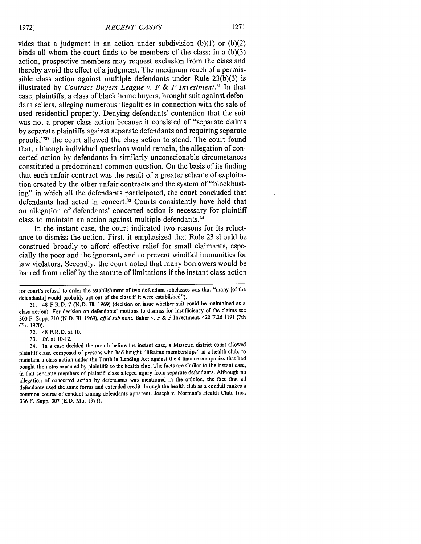vides that a judgment in an action under subdivision  $(b)(1)$  or  $(b)(2)$ binds all whom the court finds to be members of the class; in a (b)(3) action, prospective members may request exclusion from the class and thereby avoid the effect of a judgment. The maximum reach of a permissible class action against multiple defendants under Rule 23(b)(3) is illustrated by *Contract Buyers League v. F & F Investment."* In that case, plaintiffs, a class of black home buyers, brought suit against defendant sellers, alleging numerous illegalities in connection with the sale of used residential property. Denying defendants' contention that the suit was not a proper class action because it consisted of "separate claims by separate plaintiffs against separate defendants and requiring separate proofs,"<sup>32</sup> the court allowed the class action to stand. The court found that, although individual questions would remain, the allegation of concerted action by defendants in similarly unconscionable circumstances constituted a predominant common question. On the basis of its finding that each unfair contract was the result of a greater scheme of exploitation created by the other unfair contracts and the system of "blockbusting" in which all the defendants participated, the court concluded that defendants had acted in concert.<sup>33</sup> Courts consistently have held that an allegation of defendants' concerted action is necessary for plaintiff class to maintain an action against multiple defendants.<sup>34</sup>

In the instant case, the court indicated two reasons for its reluctance to dismiss the action. First, it emphasized that Rule 23 should be construed broadly to afford effective relief for small claimants, especially the poor and the ignorant, and to prevent windfall immunities for law violators. Secondly, the court noted that many borrowers would be barred from relief by the statute of limitations if the instant class action

32. 48 F.R.D. at 10.

33. *Id.* at 10-12.

for court's refusal to order the establishment of two defendant subclasses was that "many [of the defendants] would probably opt out of the class if it were established").

<sup>31. 48</sup> F.R.D. 7 (N.D. III. 1969) (decision on issue whether suit could be maintained as a class action). For decision on defendants' motions to dismiss for insufficiency of the claims see 300 F. Supp. 210 (N.D. Ill. 1969), *affd sub nom.* Baker v. F & F Investment, 420 F.2d 1191 (7th Cir. 1970).

<sup>34.</sup> In a case decided the month before the instant case, a Missouri district court allowed plaintiff class, composed of persons who had bought "lifetime memberships" in a health club, to maintain a class action under the Truth in Lending Act against the 4 finance companies that had bought the notes executed by plaintiffs to the health club. The facts are similar to the instant case, in that separate members of plaintiff class alleged injury from separate defendants. Although no allegation of concerted action by defendants was mentioned in the opinion, the fact that all defendants used the same forms and extended credit through the health club as a conduit makes a common course of conduct among defendants apparent. Joseph v. Norman's Health Club, Inc., 336 F. Supp. 307 (E.D. Mo. 1971).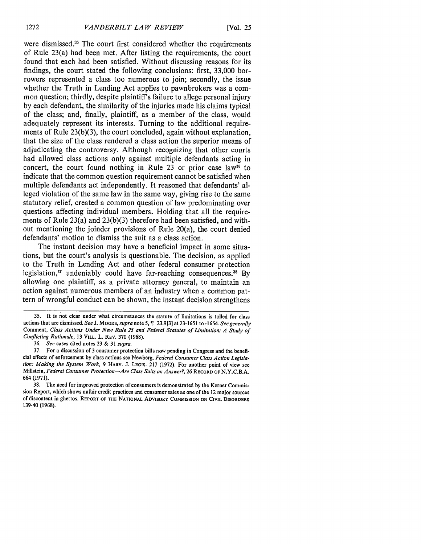were dismissed.<sup>35</sup> The court first considered whether the requirements of Rule 23(a) had been met. After listing the requirements, the court found that each had been satisfied. Without discussing reasons for its findings, the court stated the following conclusions: first, 33,000 borrowers represented a class too numerous to join; secondly, the issue whether the Truth in Lending Act applies to pawnbrokers was a common question; thirdly, despite plaintiff's failure to allege personal injury by each defendant, the similarity of the injuries made his claims typical of the class; and, finally, plaintiff, as a member of the class, would adequately represent its interests. Turning to the additional requirements of Rule 23(b)(3), the court concluded, again without explanation, that the size of the class rendered a class action the superior means of adjudicating the controversy. Although recognizing that other courts had allowed class actions only against multiple defendants acting in concert, the court found nothing in Rule 23 or prior case law<sup>36</sup> to indicate that the common question requirement cannot be satisfied when multiple defendants act independently. It reasoned that defendants' alleged violation of the same law in the same way, giving rise to the same statutory relief, created a common question of law predominating over questions affecting individual members. Holding that all the requirements of Rule 23(a) and 23(b)(3) therefore had been satisfied, and without mentioning the joinder provisions of Rule 20(a), the court denied defendants' motion to dismiss the suit as a class action.

The instant decision may have a beneficial impact in some situations, but the court's analysis is questionable. The decision, as applied to the Truth in Lending Act and other federal consumer protection legislation, $37$  undeniably could have far-reaching consequences.  $38$  By allowing one plaintiff, as a private attorney general, to maintain an action against numerous members of an industry when a common pattern of wrongful conduct can be shown, the instant decision strengthens

<sup>35.</sup> It is not clear under what circumstances the statute of limitations is tolled for class actions that are dismissed. See **J.** MOORE, *supra* note **5,9** 23.9[3] at 23-1651 to -1654. *See generally* Comment, *Class* Actions Under *New Rule 23 and Federal Statutes of Limitation:* A Study *of* Conflicting Rationale, 13 VILL. L. REV. 370 (1968).

<sup>36.</sup> See cases cited notes 23 & 31 *supra.*

<sup>37.</sup> For a discussion of 3 consumer protection bills now pending in Congress and the beneficial effects of enforcement by class actions see Newberg, *Federal* Consumer *Class Action Legisla*tion: *Making the System Work,* 9 HARV. J. LEGIS. 217 (1972). For another point of view see Millstein, Federal *Consumer Protection-Are* Class Suits an Answer?, **26** RECORD **OF N.Y.C.B.A.** 664 (1971).

<sup>38.</sup> The need for improved protection of consumers is demonstrated by the Kerner Commission Report, which shows unfair credit practices and consumer sales as one of the 12 major sources of discontent in ghettos. REPORT OF THE **NATIONAL** ADVISORY **COMMISSION ON** CIVIL DISORDERS 139-40 (1968).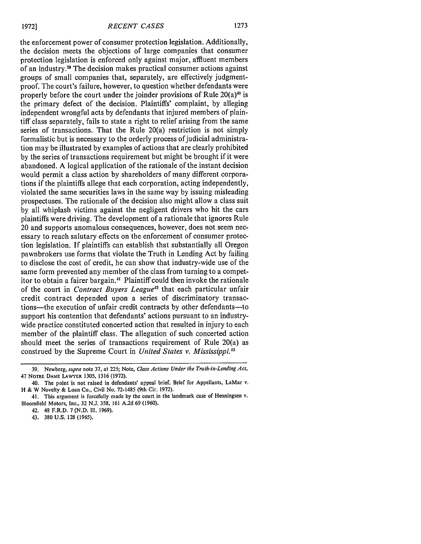the enforcement power of consumer protection legislation. Additionally, the decision meets the objections of large companies that consumer protection legislation is enforced only against major, affluent members of an industry.39 The decision makes practical consumer actions against groups of small companies that, separately, are effectively judgmentproof. The court's failure, however, to question whether defendants were properly before the court under the joinder provisions of Rule  $20(a)^{40}$  is the primary defect of the decision. Plaintiffs' complaint, by alleging independent wrongful acts by defendants that injured members of plaintiff class separately, fails to state a right to relief arising from the same series of transactions. That the Rule 20(a) restriction is not simply formalistic but is necessary to the orderly process of judicial administration may be illustrated by examples of actions that are clearly prohibited by the series of transactions requirement but might be brought if it were abandoned. A logical application of the rationale of the instant decision would permit a class action by shareholders of many different corporations if the plaintiffs allege that each corporation, acting independently, violated the same securities laws in the same way by issuing misleading prospectuses. The rationale of the decision also might allow a class suit by all whiplash victims against the negligent drivers who hit the cars plaintiffs were driving. The development of a rationale that ignores Rule 20 and supports anomalous consequences, however, does not seem necessary to reach salutary effects on the enforcement of consumer protection legislation. If plaintiffs can establish that substantially all Oregon pawnbrokers use forms that violate the Truth in Lending Act by failing to disclose the cost of credit, he can show that industry-wide use of the same form prevented any member of the class from turning to a competitor to obtain a fairer bargain." Plaintiff could then invoke the rationale of the court in *Contract Buyers League<sup>42</sup>* that each particular unfair credit contract depended upon a series of discriminatory transactions—the execution of unfair credit contracts by other defendants—to support his contention that defendants' actions pursuant to an industrywide practice constituted concerted action that resulted in injury to each member of the plaintiff class. The allegation of such concerted action should meet the series of transactions requirement of Rule 20(a) as construed by the Supreme Court in *United States v. Mississippi <sup>3</sup>*

**<sup>39.</sup>** Newberg, *supra* note 37, at 225; Note, *Class Actions Under the Truth-in-Lending Act,* 47 NOaRE **DAME** LAWYER **1305, 1316 (1972).**

<sup>40.</sup> The point is not raised in defendants' appeal brief. Brief for Appellants, LaMar v. H **&** W Novelty **&** Loan Co., Civil No. **72-1485** (9th Cir. 1972).

<sup>41.</sup> This argument is forcefully made by the court in the landmark case of Henningsen v. Bloomfield Motors, Inc., 32 N.J. **358,** 161 A.2d 69 (1960).

<sup>42. 48</sup> F.R.D. 7 (N.D. **11.** 1969).

<sup>43. 380</sup> U.S. 128 (1965).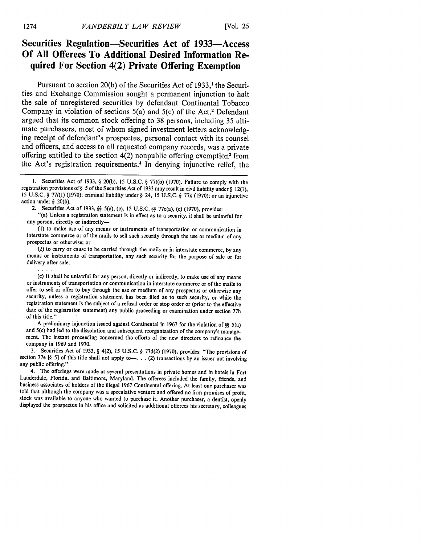#### **Securities Regulation-Securities Act of 1933-Access Of All Offerees To Additional Desired Information Required For Section 4(2) Private Offering Exemption**

Pursuant to section 20(b) of the Securities Act of 1933,<sup>1</sup> the Securities and Exchange Commission sought a permanent injunction to halt the sale of unregistered securities by defendant Continental Tobacco Company in violation of sections 5(a) and 5(c) of the Act.' Defendant argued that its common stock offering to 38 persons, including 35 ultimate purchasers, most of whom signed investment letters acknowledging receipt of defendant's prospectus, personal contact with its counsel and officers, and access to all requested company records, was a private offering entitled to the section  $4(2)$  nonpublic offering exemption<sup>3</sup> from the Act's registration requirements. 4 In denying injunctive relief, the

"(a) Unless a registration statement is in effect as to a security, it shall be unlawful for any person, directly or indirectly-

**(1)** to make use of any means or instruments of transportation or communication in interstate commerce or of the mails to sell such security through the use or medium of any prospectus or otherwise; or<br>(2) to carry or cause to be carried through the mails or in interstate commerce, by any

means or instruments of transportation, any such security for the purpose of sale or for delivery after sale.

(c) It shall be unlawful for any person, directly or indirectly, to make use of any means or instruments of transportation or communication in interstate commerce or of the mails to offer to sell or offer to buy through the use or medium of any prospectus or otherwise any security, unless a registration statement has been filed as to such security, or while the registration statement is the subject of a refusal order or stop order or (prior to the effective date of the registration statement) any public proceeding or examination under section 77h of this title."

A preliminary injunction issued against Continental in 1967 for the violation of *§§* 5(a) and 5(c) had led to the dissolution and subsequent reorganization of the company's management. The instant proceeding concerned the efforts of the new directors to refinance the company in 1969 and 1970.

3. Securities Act of 1933, § 4(2), 15 U.S.C. § 77d(2) (1970), provides: "The provisions of section 77e  $\S$  5] of this title shall not apply to-... (2) transactions by an issuer not involving any public offering."

4. The offerings were made at several presentations in private homes and in hotels in Fort Lauderdale, Florida, and Baltimore, Maryland. The offerees included the family, friends, and business associates of holders of the illegal 1967 Continental offering. At least one purchaser was told that although the company was a speculative venture and offered no firm promises of profit, stock was available to an displayed the prospectus in his office and solicited as additional offerees his secretary, colleagues

<sup>1.</sup> Securities Act of 1933, § 20(b), 15 U.S.C. § 77t(b) (1970). Failure to comply with the registration provisions of§ 5 of the Securities Act of 1933 may result in civil liability under § 12(l), **<sup>15</sup>**U.S.C. § **771(l)** (1970); criminal liability under § 24, 15 U.S.C. § 77x (1970); or an injunctive action under § 20(b).

<sup>2.</sup> Securities Act of 1933, *§§* 5(a), (c), 15 U.S.C. *§§* 77e(a), (c) (1970), provides: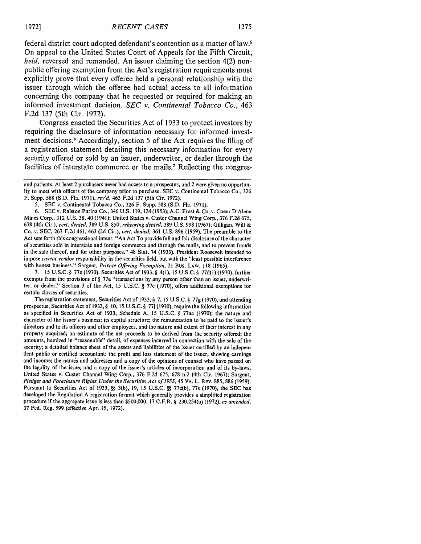federal district court adopted defendant's contention as a matter of **law.5** On appeal to the United States Court of Appeals for the Fifth Circuit, *held,* reversed and remanded. An issuer claiming the section 4(2) nonpublic offering exemption from the Act's registration requirements must explicitly prove that every offeree held a personal relationship with the issuer through which the offeree had actual access to all information concerning the company that he requested or required for making an informed investment decision. *SEC v. Continental Tobacco Co.,* 463 F.2d 137 (5th Cir. 1972).

Congress enacted the Securities Act of **1933** to protect investors **by** requiring the disclosure of information necessary for informed investment decisions.' Accordingly, section **5** of the Act requires the filing of a registration statement detailing this necessary information for every security offered or sold **by** an issuer, underwriter, or dealer through the facilities of interstate commerce or the mails.<sup>7</sup> Reflecting the congres-

7. 15 U.S.C. § 77e (1970). Securities Act of 1933, § 4(l), 15 U.S.C. § 77d(1) (1970), further exempts from the provisions of  $\S$  77e "transactions by any person other than an issuer, underwriter, or dealer." Section 3 of the Act, 15 U.S.C. § 77c (1970), offers additional exemptions for certain classes of securities.

The registration statement, Securities Act of 1933, § 7, 15 U.S.C. § 77g (1970), and attending prospectus, Securities Act of 1933, § 10, 15 U.S.C. § 77j (1970), require the following information as specified in Securities Act of 1933, Schedule A, 15 U.S.C. § 77aa (1970): the nature and character of the issuer's business; its capital structure; the remuneration to be paid to the issuer's directors and to its officers and other employees, and the nature and extent of their interest in any property acquired; an estimate of the net proceeds to be derived from the security offered; the amounts, itemized in "reasonable" detail, of expenses incurred in connection with the sale of the security; a detailed balance sheet of the assets and liabilities of the issuer certified by an independent public or certified accountant; the profit and loss statement of the issuer, showing earnings and income; the namis and addresses and a copy of the opinions of counsel who have passed on the legality of the issue; and a copy of the issuer's articles of incorporation and of its by-laws. United States v. Custer Channel Wing Corp., 376 F.2d 675, 678 n.2 (4th Cir. 1967); Sargent, *Pledges and Foreclosure Rights Under the Securities Act of 1933,* 45 VA. L. REv. 885, 886 (1959). Pursuant to Securities Act of 1933, **§§** 3(b), 19, 15 U.S.C. **§§** 77c(b), 77s (1970), the SEC has developed the Regulation A registration format which generally provides a simplified registration procedure if the aggregate issue is less than \$500,000. 17 C.F.R. § 230.254(a) (1972), *as amended,* 37 Fed. Reg. 599 (effective Apr. 15, 1972).

and patients. At least 2 purchasers never had access to a prospectus, and 2 were given no opportunity to meet with officers of the company prior to purchase. SEC v. Continental Tobacco Co., 326 F. Supp. 588 (S.D. Fla. 1971), rev'd, 463 F.2d 137 (5th Cir. 1972).

<sup>5.</sup> SEC v. Continental Tobacco Co., 326 F. Supp. 588 (S.D. Fla. 1971).

<sup>6.</sup> SEC v. Ralston Purina Co., 346 U.S. 119, 124 (1953); A.C. Frost & Co. v. Coeur D'Alene Mines Corp., 312 U.S. 38, 40 (1941); United States v. Custer Channel Wing Corp., 376 F.2d 675, 678 (4th Cir.), *cert. denied,* 389 U.S. 850, *rehearing denied,* 389 U.S. 998 (1967); Gilligan, Will & Co. v. SEC, 267 F.2d 461, 463 (2d Cir.), *cert. denied,* 361 U.S. 896 (1959). The preamble to the Act sets forth this congressional intent: "An Act To provide full and fair disclosure of the character of securities sold in interstate and foreign commerce and through the mails, and to prevent frauds in the sale thereof, and for other purposes." 48 Stat. 74 (1933). President Roosevelt intended to impose *caveat vendor* responsibility in the securities field, but with the "least possible interference with honest business." Sargent, *Private Offering Exemption,* 21 Bus. LAW. 118 (1965).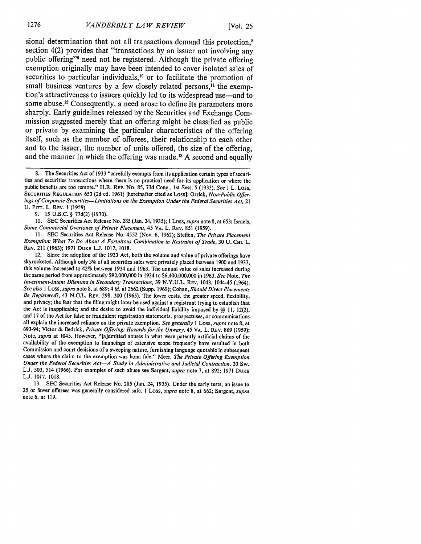sional determination that not all transactions demand this protection.<sup>8</sup> section 4(2) provides that "transactions by an issuer not involving any public offering" need not be registered. Although the private offering exemption originally may have been intended to cover isolated sales of securities to particular individuals,<sup>10</sup> or to facilitate the promotion of small business ventures by a few closely related persons, $<sup>11</sup>$  the exemp-</sup> tion's attractiveness to issuers quickly led to its widespread use-and to some abuse.<sup>12</sup> Consequently, a need arose to define its parameters more sharply. Early guidelines released by the Securities and Exchange Commission suggested merely that an offering might be classified as public or private by examining the particular characteristics of the offering itself, such as the number of offerees, their relationship to each other and to the issuer, the number of units offered, the size of the offering, and the manner in which the offering was made.<sup>13</sup> A second and equally

9. 15 U.S.C. § 77d(2) (1970).

10. SEC Securities Act Release No. 285 (Jan. 24, 1935); 1 Loss, *supra* note 8, at 653; Israels, *Some* Commercial Overtones *of Private Placement,* 45 **VA.** L. REV. 851 (1959).

**I1.** SEC Securities Act Release No. 4552 (Nov. 6, 1962); Steffen, *The Private Placement Exemption: What To Do About A Fortuitous Combination in Restraint of Trade,* 30 U. CHI. L. REV. 211 (1963); 1971 **DUKE** L.J. 1017, 1018.

13. SEC Securities Act Release No. 285 (Jan. 24, 1935). Under the early tests, an issue to 25 or fewer offerees was generally considered safe. I Loss, *supra* note 8, at 662; Sargent, *supra* note 6, at 119.

**<sup>8.</sup>** The Securities Act of **1933** "carefully exempts from its application certain types of securities and securities transactions where there is no practical need for its application or where the public benefits are too remote." H.R. REP. No. 85, 73d Cong., 1st Sess. 5 (1933). See *I* L. Loss, SECURITIES **REGULATION** 653 (2d ed. 1961) [hereinafter cited as Loss]; Orrick, *Non-Public Offerings of Corporate Securities-Limitations on the Exemption Under the Federal Securities Act,* <sup>21</sup> U. PIr. L. REV. **1** (1959).

<sup>12.</sup> Since the adoption of the 1933 Act, both the volume and value of private offerings have skyrocketed. Although only 3% of all securities sales were privately placed between 1900 and 1933, this volume increased to 42% between 1934 and 1963. The annual value of sales increased during the same period from approximately \$92,000,000 in 1934 to \$6,400,000,000 in 1963. *See* Note, *The Investment-Intent Dilemma in Secondary Transactions,* 39 N.Y.U.L. REv. 1043, 1044-45 (1964). *See also* I Loss, *supra* note 8, at 689; 4 *id.* at 2662 (Supp. 1969); Cohan, Should *Direct Placements Be Registered?,* 43 N.C.L. REV. 298, 300 (1965). The lower costs, the greater speed, flexibility, and privacy; the fear that the filing might later be used against a registrant trying to establish that the Act is inapplicable; and the desire to avoid the individual liability imposed by **§§ 11,** 12(2), and 17 of the Act for false or fraudulent registration statements, prospectuses, or communications all explain the increased reliance on the private exemption. *See generally* I Loss, *supra* note 8, at 693-94; Victor & Bedrick, *Private Offering: Hazards for the Unwary,* 45 **VA.** L. REV. 869 (1959); Note, *supra* at 1045. However, "[a]dmitted abuses in what were patently artificial claims of the availability of the exemption to financings of extensive scope frequently have resulted in both Commission and court decisions of a sweeping nature, furnishing language quotable in subsequent cases where the claim to the exemption was bona fide." Meer, *The Private Offering Exemption Under the Federal Securities Act-A Study in Administrative and Judicial Contraction,* 20 Sw. L.J. 503, 514 (1966). For examples of such abuse see Sargent, *supra* note 7, at 892; 1971 **DUKE** L.J. 1017, 1018.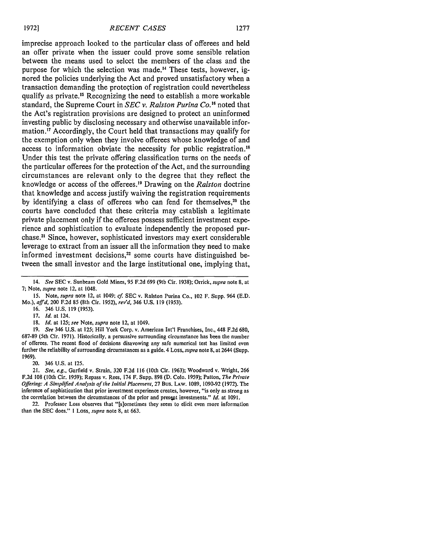imprecise approach looked to the particular class of offerees and held an offer private when the issuer could prove some sensible relation between the means used to select the members of the class and the purpose for which the selection was made. 4 These tests, however, ignored the policies underlying the Act and proved unsatisfactory when a transaction demanding the protection of registration could nevertheless qualify as private.<sup>15</sup> Recognizing the need to establish a more workable standard, the Supreme Court in *SEC v. Ralston Purina Co.'6* noted that the Act's registration provisions are designed to protect an uninformed investing public **by** disclosing necessary and otherwise unavailable information.<sup>17</sup> Accordingly, the Court held that transactions may qualify for the exemption only when they involve offerees whose knowledge of and access to information obviate the necessity for public registration." Under this test the private offering classification turns on the needs of the particular offerees for the protection of the Act, and the surrounding circumstances are relevant only to the degree that they reflect the knowledge or access of the offerees.11 Drawing on the *Ralston* doctrine that knowledge and access justify waiving the registration requirements by identifying a class of offerees who can fend for themselves,<sup>20</sup> the courts have concluded that these criteria may establish a legitimate private placement only if the offerees possess sufficient investment experience and sophistication to evaluate independently the proposed purchase.<sup>21</sup> Since, however, sophisticated investors may exert considerable leverage to extract from an issuer all the information they need to make informed investment decisions,<sup>22</sup> some courts have distinguished between the small investor and the large institutional one, implying that,

- 16. 346 U.S. **119** (1953).
- 17. *Id.* at 124.

18. *Id.* at 125; *see* Note, *supra* note 12, at 1049.

19. *See* 346 U.S. at 125; Hill York Corp. v. American Int'l Franchises, Inc., 448 F.2d 680, 687-89 (5th Cir. 1971). Historically, a persuasive surrounding circumstance has been the number of offerees. The recent flood of decisions disavowing any safe numerical test has limited even further the reliability of surrounding circumstances as a guide. 4 Loss, *supra* note **8,** at 2644 (Supp. 1969).

20. 346 U.S. at 125.

22. Professor Loss observes that "[s]ometimes they seem to elicit even more information than the **SEC** does." **I** Loss, *supra* note **8,** at 663.

<sup>14.</sup> See SEC v. Sunbeam Gold Mines, 95 F.2d 699 (9th Cir. 1938); Orrick, *supra* note **8,** at **7;** Note, supra note 12, at 1048.

**<sup>15.</sup>** Note, supra note 12, at 1049; cf. SEC v. Ralston Purina Co., 102 F. Supp. 964 (E.D. Mo.), aff'd, 200 F.2d 85 (8th Cir. 1952), rev'd, 346 U.S. 119 (1953).

<sup>21.</sup> *See, e.g.,* Garfield v. Strain, 320 F.2d 116 (10th Cir. 1963); Woodward v. Wright, 266 F.2d 108 (10th Cir. 1959); Repass v. Rees, 174 F. Supp. 898 (D. Colo. 1959); Patton, *The Private* Offering: A Simplified Analysis *of the* Initial Placement, 27 Bus. **LAW. 1089,** 1090-92 (1972). The inference of sophistication that prior investment experience creates, however, "is only as strong as the correlation between the circumstances of the prior and present investments." *Id.* at 1091.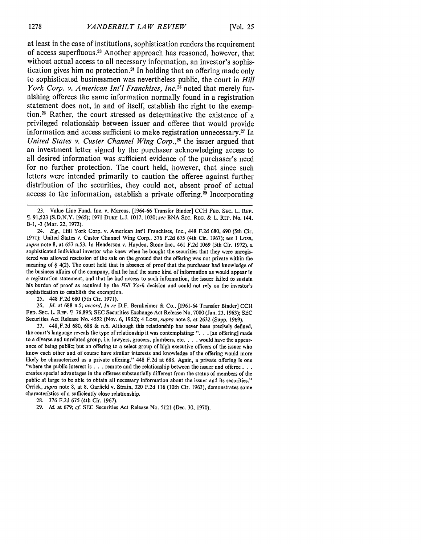at least in the case of institutions, sophistication renders the requirement of access superfluous.<sup>23</sup> Another approach has reasoned, however, that without actual access to all necessary information, an investor's sophistication gives him no protection.<sup>24</sup> In holding that an offering made only to sophisticated businessmen was nevertheless public, the court in *Hill York Corp. v. American Int'l Franchises, Inc.<sup>25</sup> noted that merely fur*nishing offerees the same information normally found in a registration statement does not, in and of itself, establish the right to the exemption.26 Rather, the court stressed as determinative the existence of a privileged relationship between issuer and offeree that would provide information and access sufficient to make registration unnecessary.<sup>27</sup> In United States v. Custer Channel Wing Corp.,<sup>28</sup> the issuer argued that an investment letter signed by the purchaser acknowledging access to all desired information was sufficient evidence of the purchaser's need for no further protection. The court held, however, that since such letters were intended primarily to caution the offeree against further distribution of the securities, they could not, absent proof of actual access to the information, establish a private offering.<sup>29</sup> Incorporating

**23.** Value Line Fund, Inc. v. Marcus, [1964-66 Transfer Binder] CCH **FED. SEC.** L. REP. *,* 91,523 (S.D.N.Y. **1965); 1971 DUKE L.J. 1017,** 1020; see **BNA** SEc. REG. & L. REP. No. 144, B-I, -3 (Mar. 22, 1972).

24. **E.g.,** Hill York Corp. v. American Int'l Franchises, Inc., 448 F.2d 680, 690 (5th Cir. 1971); United States v. Custer Channel Wing Corp., 376 F.2d 675 (4th Cir. 1967); *see I* Loss, *supra* note 8, at 657 n.53. In Henderson v. Hayden, Stone Inc., 461 F.2d 1069 (5th Cir. 1972), a sophisticated individual investor who knew when he bought the securities that they were unregistered was allowed rescission of the sale on the ground that the offering was not private within the meaning of § 4(2). The court held that in absence of proof that the purchaser had knowledge of the business affairs of the company, that he had the same kind of information as would appear in a registration statement, and that he had access to such information, the issuer failed to sustain his burden of proof as required by the *Hill York* decision and could not rely on the investor's sophistication to establish the exemption.

**25.** 448 F.2d 680 (5th Cir. 1971).

26. *Id.* at 688 n.5; *accord, In re* D.F. Bernheimer & Co., [1961-64 Transfer Binder] CCH **FED.** SEC. L. REP. 76,895; SEC Securities Exchange Act Release No. 7000 (Jan. **23,** 1963); SEC Securities Act Release No. 4552 (Nov. 6, 1962); 4 Loss, *supra* note 8, at 2632 (Supp. 1969).

27. 448,F.2d 680, 688 & n.6. Although this relationship has never been precisely defined, the court's language reveals the type of relationship it was contemplating: ". **.** . [an offering] made to a diverse and unrelated group, i.e. lawyers, grocers, plumbers, etc. . **.** . would have the appearance of being public; but an offering to a select group of high executive officers of the issuer who know each other and of course have similar interests and knowledge of the offering would more likely be characterized as a private offering." 448 F.2d at 688. Again, a private offering is one "where the public interest is ... remote and the relationship between the issuer and offeree. **..** creates special advantages in the offerees substantially different from the status of members of the public at large to be able to obtain all necessary information about the issuer and its securities." Orrick, *supra* note 8, at 8. Garfield v. Strain, 320 F.2d 116 (10th Cir. 1963), demonstrates some characteristics of a sufficiently close relationship.

28. 376 F.2d 675 (4th Cir. 1967).

<sup>29.</sup> *Id.* at 679; *cf.* SEC Securities Act Release No. 5121 (Dec. 30, 1970).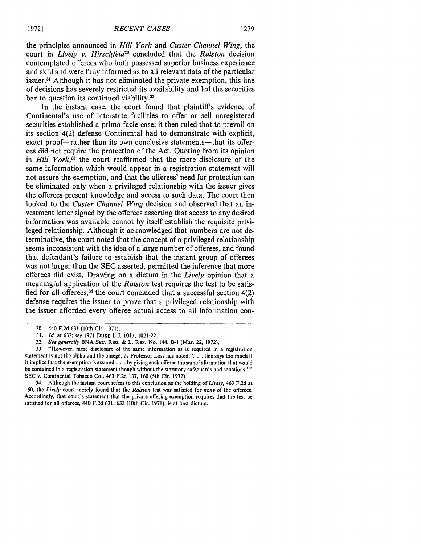the principles announced in *Hill York* and *Custer Channel Wing,* the court in *Lively v. Hirschfeld"0* concluded that the *Ralston* decision contemplated offerees who both possessed superior business experience and skill and were fully informed as to all relevant data of the particular issuer.<sup>31</sup> Although it has not eliminated the private exemption, this line of decisions has severely restricted its availability and led the securities bar to question its continued viability.32

In the instant case, the court found that plaintiff's evidence of Continental's use of interstate facilities to offer or sell unregistered securities established a prima facie case; it then ruled that to prevail on its section 4(2) defense Continental had to demonstrate with explicit, exact proof-rather than its own conclusive statements-that its offerees did not require the protection of the Act. Quoting from its opinion in *Hill York*,<sup>33</sup> the court reaffirmed that the mere disclosure of the same information which would appear in a registration statement will not assure the exemption, and that the offerees' need for protection can be eliminated only when a privileged relationship with the issuer gives the offerees present knowledge and access to such data. The court then looked to the *Custer Channel Wing* decision and observed that an investment letter signed by the offerees asserting that access to any desired information was available cannot by itself establish the requisite privileged relationship. Although it acknowledged that numbers are not determinative, the court noted that the concept of a privileged relationship seems inconsistent with the idea of a large number of offerees, and found that defendant's failure to establish that the instant group of offerees was not larger than the SEC asserted, permitted the inference that more offerees did exist. Drawing on a dictum in the *Lively* opinion that a meaningful application of the *Ralston* test requires the test to be satisfied for all offerees,<sup>34</sup> the court concluded that a successful section  $4(2)$ defense requires the issuer to prove that a privileged relationship with the issuer afforded every offeree actual access to all information con-

34. Although the instant court refers to this conclusion as the holding of *Lively,* 463 F.2d at 160, the *Lively* court merely found that the *Ralston* test was satisfied for *none* of the offerees. Accordingly, that court's statement that the private offering exemption requires that the test be satisfied for all offerees, 440 F.2d 631, 633 (10th Cir. 1971), is at best dictum.

<sup>30. 440</sup> F.2d **631** (10th Cir. 1971).

<sup>31.</sup> *Id.* at 633; see 1971 DUKE L.J. 1017, 1021-22.

<sup>32.</sup> *See generally* BNA SEc. **REG.** & L. REP. No. 144, B-I (Mar. 22, 1972).

<sup>33. &</sup>quot;However, mere disclosure of the same information as is required in a registration statement is not the alpha and the omega, as Professor Loss has noted. **'. ..** this says too much if it implies that-the exemption is assured. **. .** by giving each offeree the same information that would be contained in a registration statement though without the statutory safeguards and sanctions.'" SEC v. Continental Tobacco Co., 463 F.2d 137, 160 (5th Cir. 1972).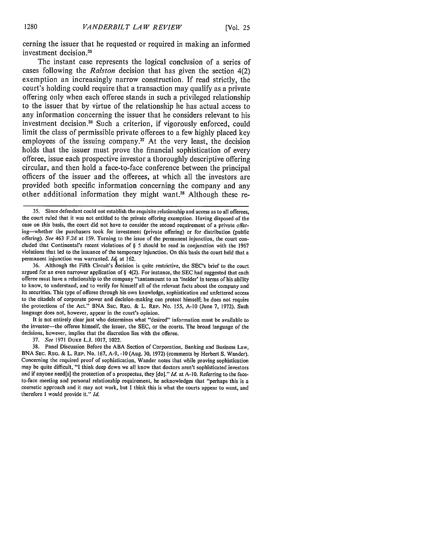cerning the issuer that he requested or required in making an informed investment decision.<sup>35</sup>

The instant case represents the logical conclusion of a series of cases following the *Ralston* decision that has given the section 4(2) exemption an increasingly narrow construction. **If** read strictly, the court's holding could require that a transaction may qualify as a private offering only when each offeree stands in such a privileged relationship to the issuer that by virtue of the relationship he has actual access to any information concerning the issuer that he considers relevant to his investment decision.<sup>36</sup> Such a criterion, if vigorously enforced, could limit the class of permissible private offerees to a few highly placed key employees of the issuing company.<sup>37</sup> At the very least, the decision holds that the issuer must prove the financial sophistication of every offeree, issue each prospective investor a thoroughly descriptive offering circular, and then hold a face-to-face conference between the principal officers of the issuer and the offerees, at which all the investors are provided both specific information concerning the company and any other additional information they might want.<sup>38</sup> Although these re-

It is not entirely clear just who determines what "desired" information must be available to the investor-the offeree himself, the issuer, the SEC, or the courts. The broad language of the decisions, however, implies that the discretion lies with the offeree.

37. *See* **1971 DUKE L.J. 1017,** 1022.

38. Panel Discussion Before the ABA Section of Corporation, Banking and Business Law, BNA SEc. REG. & L. REP. No. **167, A-9, -10** (Aug. 30, 1972) (comments by Herbert S. Wander). Concerning the required proof of sophistication, Wander notes that while proving sophistication may be quite difficult, "I think deep down we all know that doctors aren't sophisticated investors and if anyone need[s] the protection of a prospectus, they [do]." *Id.* at **A-10.** Referring to the faceto-face meeting and personal relationship requirement, he acknowledges that "perhaps this is a cosmetic approach and it may not work, but I think this is what the courts appear to want, and therefore I would provide it." *Id.*

**<sup>35.</sup>** Since defendant could not establish the requisite relationship and access as to all offerees, the court ruled that it was not entitled to the private offering exemption. Having disposed of the case on this basis, the court did not have to consider the second requirement of a private offering-whether the purchasers took for investment (private offering) or for distribution (public offering). *See* 463 F.2d at 159. Turning to the issue of the permanent injunction, the court concluded that Continental's recent violations of § 5 should be read in conjunction with the 1967 violations that led to the issuance of the temporary injunction. On this basis the court held that a permanent injunction was warranted. *Id*<sub>t</sub> at 162.

<sup>36.</sup> Although the Fifth Circuit's decision is quite restrictive, the SEC's brief to the court argued for an even narrower application of § 4(2). For instance, the SEC had suggested that each offeree must have a relationship to the company "tantamount to an 'insider' in terms of his ability to know, to understand, and to verify for himself all of the relevant facts about the company and its securities. This type of offeree through his own knowledge, sophistication and unfettered access to the citadels of corporate power and decision-making can protect himself; he does not require the protections of the Act." BNA SEc. REG. **&** L. REP. No. 155, **A-10** (June 7, 1972). Such language does not, however, appear in the court's opinion.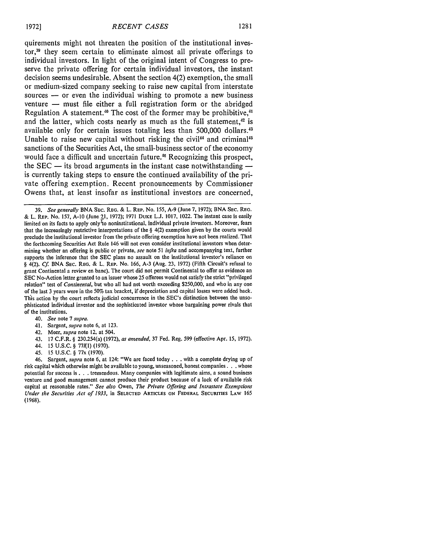quirements might not threaten the position of the institutional investor,<sup>39</sup> they seem certain to eliminate almost all private offerings to individual investors. In light of the original intent of Congress to preserve the private offering for certain individual investors, the instant decision seems undesirable. Absent the section 4(2) exemption, the small or medium-sized company seeking to raise new capital from interstate sources  $-$  or even the individual wishing to promote a new business venture — must file either a full registration form or the abridged Regulation A statement.<sup>40</sup> The cost of the former may be prohibitive.<sup>41</sup> and the latter, which costs nearly as much as the full statement,<sup>42</sup> is available only for certain issues totaling less than 500,000 dollars.<sup>43</sup> Unable to raise new capital without risking the civil<sup>44</sup> and criminal<sup>45</sup> sanctions of the Securities Act, the small-business sector of the economy would face a difficult and uncertain future.<sup>46</sup> Recognizing this prospect, the SEC **-** its broad arguments in the instant case notwithstanding  is currently taking steps to ensure the continued availability of the private offering exemption. Recent pronouncements by Commissioner Owens that, at least insofar as institutional investors are concerned,

39. See generally BNA SEC. REG. & L. REP. No. 155, A-9 (June 7, 1972); BNA SEC. REG. & L. REP. No. 157, **A-10** (June **1,** 1972); 1971 **DUKE** L.J. 1017, 1022. The instant case is easily limited on its facts to apply only<sup> $T$ </sup>to noninstitutional, individual private investors. Moreover, fears that the increasingly restrictive interpretations of the  $\S$  4(2) exemption given by the courts would preclude the institutional investor from the private offering exemption have not been realized. That the forthcoming Securities Act Rule 146 will not even consider institutional investors when determining whether an offering is public or private, see note 51 infra and accompanying text, further supports the inference that the SEC plans no assault on the institutional investor's reliance on § 4(2). Cf. BNA SEC. REG. & L. REP. No. 166, A-3 (Aug. 23, 1972) (Fifth Circuit's refusal to grant Continental a review en banc). The court did not permit Continental to offer as evidence an SEC No-Action letter granted to an issuer whose 25 offerees would not satisfy the strict "privileged relation" test of *Continental*, but who all had net worth exceeding \$250,000, and who in any one of the last 3 years were in the 50% tax bracket, if depreciation and capital losses were added back. This action by the court reflects judicial concurrence in the SEC's distinction between the unsophisticated individual investor and the sophisticated investor whose bargaining power rivals that of the institutions.

- 40. See note 7 supra.
- 41. Sargent, supra note 6, at 123.
- 42. Meer, supra note 12, at 504.
- 43. 17 C.F.R. § 230.254(a) (1972), as amended, 37 Fed. Reg. 599 (effective Apr. 15, 1972).
- 44. 15 U.S.C. § 771(I) (1970).
- 45. 15 U.S.C. § 77x (1970).

46. Sargent, supra note 6, at 124: "We are faced today **. . .** with a complete drying up of risk capital which otherwise might be available to young, unseasoned, honest companies. **. .** whose potential for success is **. .** . tremendous. Many companies with legitimate aims, a sound business venture and good management cannot produce their product because of a lack of available risk capital at reasonable rates." See also Owen, *The Private Offering and Intrastate Exemptions* Under the Securities **Act** of **1933,** in **SELECTED** ARTICLES **ON** FEDERAL SECURITIES LAW <sup>165</sup> (1968).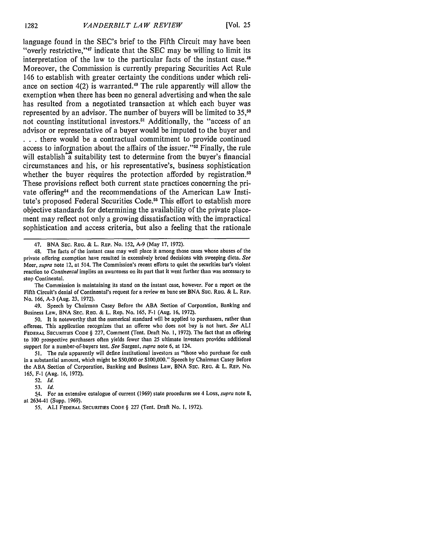language found in the SEC's brief to the Fifth Circuit may have been "overly restrictive, 47 indicate that the **SEC** may be willing to limit its interpretation of the law to the particular facts of the instant case.<sup>48</sup> Moreover, the Commission is currently preparing Securities Act Rule 146 to establish with greater certainty the conditions under which reliance on section  $4(2)$  is warranted.<sup>49</sup> The rule apparently will allow the exemption when there has been no general advertising and when the sale has resulted from a negotiated transaction at which each buyer was represented **by** an advisor. The number of buyers will be limited to **35,50** not counting institutional investors.<sup>51</sup> Additionally, the "access of an advisor or representative of a buyer would be imputed to the buyer and **• . .** there would be a contractual commitment to provide continued access to information about the affairs of the issuer."<sup>52</sup> Finally, the rule will establish a suitability test to determine from the buyer's financial circumstances and his, or his representative's, business sophistication whether the buyer requires the protection afforded by registration.<sup>53</sup> These provisions reflect both current state practices concerning the private offering<sup>54</sup> and the recommendations of the American Law Institute's proposed Federal Securities **Code.55** This effort to establish more objective standards for determining the availability of the private placement may reflect not only a growing dissatisfaction with the impractical sophistication and access criteria, but also a feeling that the rationale

The Commission is maintaining its stand on the instant case, however. For a report on the Fifth Circuit's denial of Continental's request for a review en banc see BNA SEC. REG. & L. REP. No. 166, A-3 (Aug. 23, 1972).

49. Speech **by** Chairman Casey Before the **ABA** Section of Corporation, Banking and Business Law, BNA SEc. REG. & L. Rep. No. **165,** F-I (Aug. 16, 1972).

50. It is noteworthy that the numerical standard will be applied to purchasers, rather than offerees. This application recognizes that an offeree who does not buy is not hurt. *See* **ALI** FEDERAL **SECURITIES CODE** § 227, Comment (Tent. Draft No. **1,** 1972). The fact that an offering to 100 prospective purchasers often yields fewer than **25** ultimate investors provides additional support for a number-of-buyers test. *See* Sargent, *supra* note 6, at 124.

51. The rule apparently will define institutional investors as "those who purchase for cash in a substantial amount, which might be \$50,000 or \$100,000." Speech **by** Chairman Casey Before the **ABA** Section of Corporation, Banking and Business Law, BNA SEC. REG. & L. REP. No. 165, F-I (Aug. 16, 1972).

**52.** *Id.*

*53. Id.*

5.4. For an extensive catalogue of current **(1969)** state procedures see 4 Loss, *supra* note 8, at 2634-41 (Supp. 1969).

<sup>47.</sup> BNA SEC. REG. & L. REP. No. 152, **A-9** (May **17,** 1972).

<sup>48.</sup> The facts of the instant case may well place it among those cases whose abuses of the private offering exemption have resulted in excessively broad decisions with sweeping dicta. *See* Meer, *supra* note 12, at 514. The Commission's recent efforts to quiet the securities bar's violent reaction to *Continental* implies an awareness on its part that it went further than was necessary to stop Continental.

**<sup>55.</sup>** ALl FEDERAL **SECURITIES CODE** § 227 (Tent. Draft No. **1,** 1972).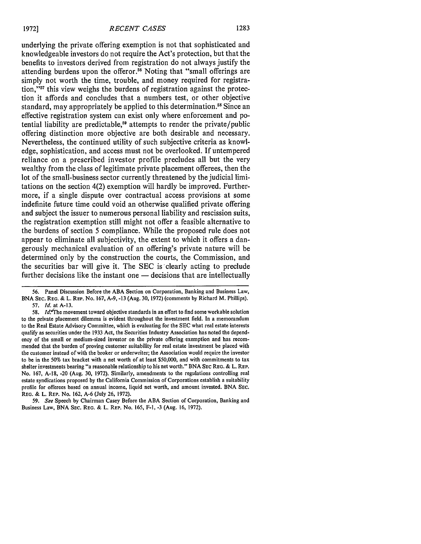underlying the private offering exemption is not that sophisticated and knowledgeable investors do not require the Act's protection, but that the benefits to investors derived from registration do not always justify the attending burdens upon the offeror.55 Noting that "small offerings are simply not worth the time, trouble, and money required for registration,"<sup>57</sup> this view weighs the burdens of registration against the protection it affords and concludes that a numbers test, or other objective standard, may appropriately be applied to this determination.<sup>58</sup> Since an effective registration system can exist only where enforcement and potential liability are predictable,<sup>59</sup> attempts to render the private/public offering distinction more objective are both desirable and necessary. Nevertheless, the continued utility of such subjective criteria as knowledge, sophistication, and access must not be overlooked. If untempered reliance on a prescribed investor profile precludes all but the very wealthy from the class of legitimate private placement offerees, then the lot of the small-business sector currently threatened by the judicial limitations on the section 4(2) exemption will hardly be improved. Furthermore, if a single dispute over contractual access provisions at some indefinite future time could void an otherwise qualified private offering and subject the issuer to numerous personal liability and rescission suits, the registration exemption still might not offer a feasible alternative to the burdens of section 5 compliance. While the proposed rule does not appear to eliminate all subjectivity, the extent to which it offers a dangerously mechanical evaluation of an offering's private nature will be determined only by the construction the courts, the Commission, and the securities bar will give it. The SEC is clearly acting to preclude further decisions like the instant one  $-$  decisions that are intellectually

<sup>56.</sup> Panel Discussion Before the ABA Section on Corporation, Banking and Business Law, **BNA SEC.** REG. & L. REP. No. 167, A-9, -13 (Aug. 30, 1972) (comments by Richard M. Phillips). **57.** *Id.* at A-13.

<sup>58.</sup> Id.<sup>3</sup>The movement toward objective standards in an effort to find some workable solution to the private placement dilemma is evident throughout the investment field. In a memorandum to the Real Estate Advisory Committee, which is evaluating for the SEC what real estate interests qualify as securities under the 1933 Act, the Securities Industry Association has noted the dependency of the small or medium-sized investor on the private offering exemption and has recommended that the burden of proving customer suitability for real estate investment be placed with the customer instead of with the broker or underwriter; the Association would require the investor to be in the 50% tax bracket with a net worth of at least \$50,000, and with commitments to tax shelter investments bearing "a reasonable relationship to his net worth." BNA SEC REG. & L. REP. No. 167, A-18, -20 (Aug. 30, 1972). Similarly, amendments to the regulations controlling real estate syndications proposed by the California Commission of Corporations establish a suitability profile for offerees based on annual income, liquid net worth, and amount invested. BNA **SEC.** REG. & L. REP. No. 162, A-6 (July 26, 1972).

<sup>59.</sup> *See* Speech by Chairman Casey Before the ABA Section of Corporation, Banking and Business Law, BNA SEc. REG. & L. REP. No. 165, F-I, -3 (Aug. 16, 1972).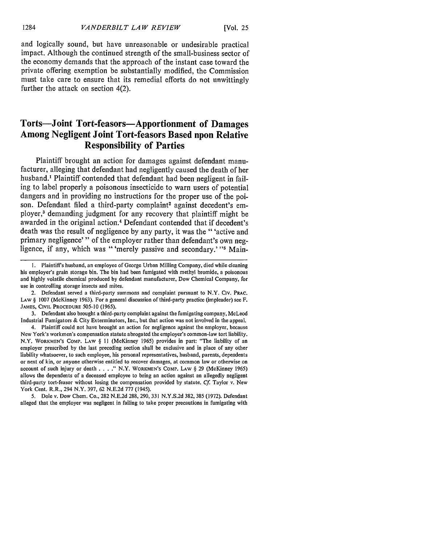and logically sound, but have unreasonable or undesirable practical impact. Although the continued strength of the small-business sector of the economy demands that the approach of the instant case toward the private offering exemption be substantially modified, the Commission must take care to ensure that its remedial efforts do not unwittingly further the attack on section 4(2).

#### **Torts-Joint Tort-feasors-Apportionment of Damages Among Negligent Joint Tort-feasors Based upon Relative Responsibility of Parties**

Plaintiff brought an action for damages against defendant manufacturer, alleging that defendant had negligently caused the death of her husband.' Plaintiff contended that defendant had been negligent in failing to label properly a poisonous insecticide to warn users of potential dangers and in providing no instructions for the proper use of the poison. Defendant filed a third-party complaint<sup>2</sup> against decedent's employer 3 demanding judgment for any recovery that plaintiff might be awarded in the original action.4 Defendant contended that if decedent's death was the result of negligence **by** any party, it was the" 'active and primary negligence'" of the employer rather than defendant's own negligence, if any, which was "'merely passive and secondary.'"<sup>5</sup> Main-

2. Defendant served a third-party summons and complaint pursuant to N.Y. Cv. **PRAC. LAW** § **1007** (McKinney **1963).** For a general discussion of third-party practice (impleader) see F. **JAMES, CIVIL PROCEDURE 505-10 (1965).**

**3.** Defendant also brought a third-party complaint against the fumigating company, McLeod Industrial Fumigators **&** City Exterminators, Inc., but that action was not involved in the appeal.

4. Plaintiff could not have brought an action for negligence against the employer, because New York's workmen's compensation statute abrogated the employer's common-law tort liability. N.Y. **WORKMEN'S ComP. LAW** § **II** (McKinney **1965)** provides in part: "The liability of an employer prescribed **by** the last preceding section shall be exclusive and in place of any other liability whatsoever, to such employee, his personal representatives, husband, parents, dependents or next of kin, or anyone otherwise entitled to recover damages, at common law or otherwise on **account of such** injury or death **...."** N.Y. **WORKMEN'S CoMP. LAW** § **29** (McKinney **1965)** allows the dependents of a deceased employee to bring an action against an allegedly negligent third-party tort-feasor without losing the compensation provided **by** statute. **Cf.** Taylor v. New York Cent. R.R., 294 N.Y. **397, 62 N.E.2d 777** (1945).

**5.** Dole v. Dow Chem. **Co., 282 N.E.2d 288, 290, 331 N.Y.S.2d 382, 385 (1972).** Defendant alleged that the employer was negligent in failing to take proper precautions in fumigating with

**<sup>1.</sup>** Plaintiffs husband, an employee of George Urban Milling Company, died while cleaning his employer's grain storage bin. The bin had been fumigated with methyl bromide, a poisonous and **highly** volatile chemical produced **by** defendant manufacturer, Dow Chemical Company, for use in controlling storage insects and mites.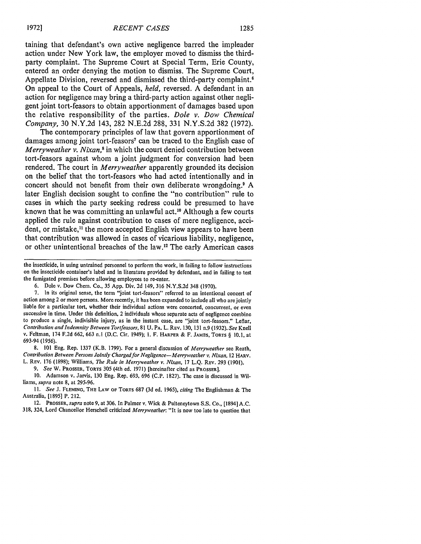**taining** that defendant's own active negligence barred the impleader action under New York law, the employer moved to dismiss the thirdparty complaint. The Supreme Court at Special Term, Erie County, entered an order denying the motion to dismiss. The Supreme Court, Appellate Division, reversed and dismissed the third-party complaint.<sup>6</sup> On appeal to the Court of Appeals, *held,* reversed. **A** defendant in an action for negligence may bring a third-party action against other negligent joint tort-feasors to obtain apportionment of damages based upon the relative responsibility of the parties. *Dole v. Dow Chemical Company,* 30 N.Y.2d 143, 282 N.E.2d 288, 331 N.Y.S.2d 382 (1972).

The contemporary principles of law that govern apportionment of damages among joint tort-feasors<sup>7</sup> can be traced to the English case of *Merryweather v. Nixan*,<sup>8</sup> in which the court denied contribution between tort-feasors against whom a joint judgment for conversion had been rendered. The court in *Merryweather* apparently grounded its decision on the belief that the tort-feasors who had acted intentionally and in concert should not benefit from their own deliberate wrongdoing.9 **A** later English decision sought to confine the "no contribution" rule to cases in which the party seeking redress could be presumed to have known that he was committing an unlawful act.<sup>10</sup> Although a few courts applied the rule against contribution to cases of mere negligence, accident, or mistake,<sup>11</sup> the more accepted English view appears to have been that contribution was allowed in cases of vicarious liability, negligence, or other unintentional breaches of the law.<sup>12</sup> The early American cases

the insecticide, in using untrained personnel to perform the work, in failing to follow instructions on the insecticide container's label and in literature provided **by** defendant, and in failing to test the fumigated premises before allowing employees to re-enter.

6. Dole v. Dow Chem. Co., 35 App. Div. 2d 149, 316 N.Y.S.2d 348 (1970).

7. In its original sense, the term "joint tort-feasors" referred to an intentional concert of action among 2 or more persons. More recently, it has been expanded to include all who are jointly liable for a particular tort, whether their individual actions were concerted, concurrent, or even successive in time. Under this definition, 2 individuals whose separate acts of negligence combine to produce a single, indivisible injury, as in the instant case, are "joint tort-feasors." Leflar, Contribution *and Indemnity Between Tortfeasors,* 81 U. PA. L. REV. 130, 131 n.9 (1932). *See* Knell v. Feltman, 174 F.2d 662, 663 n.l (D.C. Cir. 1949); 1. F. HARPER & F. JAMES, TORTS § 10.1, at 693-94 (1956).

8. 101 Eng. Rep. 1337 (K.B. 1799). For a general discussion of *Merryweather* see Reath, *Contribution Between Persons Jointly Charged for Negligence-Merryweather v. Nixan,* <sup>12</sup>**HARV.** L. REV. 176 (1898); Williams, *The Rule in Merryweather v. Nixan,* 17 L.Q. REV. 293 (1901).

*9. See* W. PROSSER, **TORTS** 305 (4th ed. 1971) [hereinafter cited as PROSSER].

**10.** Adamson v. Jarvis, 130 Eng. Rep. 693, 696 **(C.P.** 1827). The case is discussed in Williams, *supra* note **8,** at 295-96.

*II. See* **J. FLEMING,** THE **LAW OF TORTS 687 (3d** ed. 1965), *citing* The Englishman & The Australia, [1895] P. 212.

12. PROSSER, *supra* note 9, at **306.** In Palmer v. Wick & Pulteneytown S.S. Co., [1894] **A.C. 318,** 324, Lord Chancellor Herschell criticized *Merryweather:* "It is now too late to question that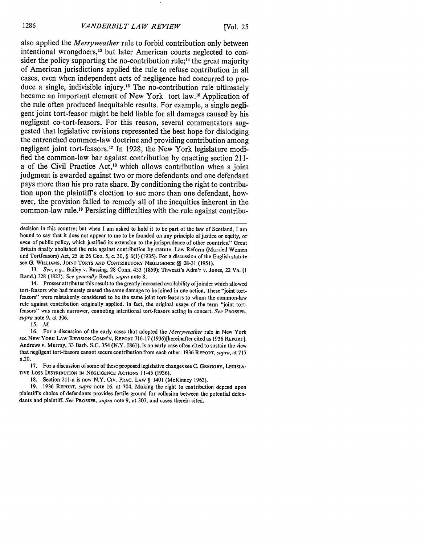also applied the *Merryweather* rule to forbid contribution only between intentional wrongdoers,<sup>13</sup> but later American courts neglected to consider the policy supporting the no-contribution rule;<sup>14</sup> the great majority of American jurisdictions applied the rule to refuse contribution in all cases, even when independent acts of negligence had concurred to produce a single, indivisible injury.<sup>15</sup> The no-contribution rule ultimately became an important element of New York tort law.<sup>16</sup> Application of the rule often produced inequitable results. For example, a single negligent joint tort-feasor might be held liable for all damages caused **by** his negligent co-tort-feasors. For this reason, several commentators suggested that legislative revisions represented the best hope for dislodging the entrenched common-law doctrine and providing contribution among negligent joint tort-feasors.<sup>17</sup> In 1928, the New York legislature modified the common-law bar against contribution **by** enacting section **211** a of the Civil Practice Act,<sup>18</sup> which allows contribution when a joint judgment is awarded against two or more defendants and one defendant pays more than his pro rata share. **By** conditioning the right to contribution upon the plaintiff's election to sue more than one defendant, however, the provision failed to remedy all of the inequities inherent in the common-law rule.<sup>19</sup> Persisting difficulties with the rule against contribu-

decision in this country; but when I am asked to hold it to be part of the law of Scotland, I am bound to say that it does not appear to me to be founded on any principle of justice or equity, or even of public policy, which justified its extension to the jurisprudence of other countries." Great Britain finally abolished the rule against contribution by statute. Law Reform (Married Women and Tortfeasors) Act, 25 & 26 Geo. 5, c. 30,  $\S$  6(1) (1935). For a discussion of the English statute see **G.** WILLIAMS, JOINT TORTS AND CONTRIBUTORY NEGLIGENCE **§§ 28-31** (1951).

13. *See, e.g.,* Bailey v. Bussing, 28 Conn. 453 (1859); Thweatt's Adm'r v. Jones, 22 Va. **(I** Rand.) 328 (1823). *See generally* Reath, *supra* note 8.

14. Prosser attributes this result to the greatly increased availability ofjoinder which allowed tort-feasors who had merely caused the same damage to be joined in one action. These "joint tortfeasors" were mistakenly considered to be the same joint tort-feasors to whom the common-law rule against contribution originally applied. In fact, the original usage of the term "joint tortfeasors" was much narrower, connoting intentional tort-feasors acting in concert. *See* PROSSFR, *supra* note 9, at 306.

*15. Id.*

16. For a discussion of the early cases that adopted the *Merryweather* rule in New York see **NEW** YORK LAW REVISION **COMM'N,** REPORT 716-17 (1936)[hereinafter cited as 1936 REPORT]. Andrews v. Murray, 33 Barb. S.C. 354 (N.Y. 1861), is an early case often cited to sustain the view that negligent tort-feasors cannot secure contribution from each other. 1936 REPORT, *supra,* at 717 n.20.

17. For a discussion of some of these proposed legislative changes see C. GREGORY, LEGISLA-TIVE Loss **DISTRIBUTION** IN NEGLIGENCE ACTIONS 11-45 (1936).

18. Section 211-a is now N.Y. Civ. Prac. Law § 1401 (McKinney 1963).

19. 1936 REPORT, *supra* note 16, at 704. Making the right to contribution depend upon plaintiffs choice of defendants provides fertile ground for collusion between the potential defendants and plaintiff. *See* PROSSER, *supra* note 9, at 307, and cases therein cited.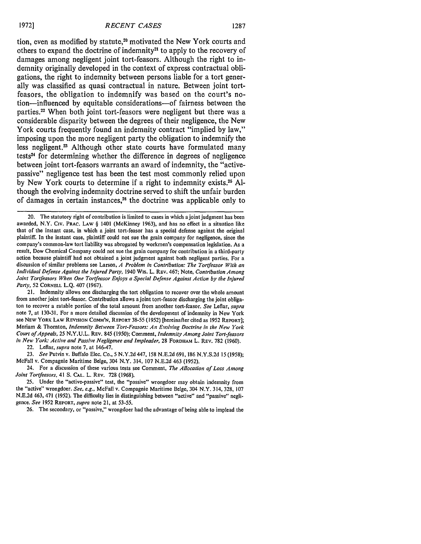tion, even as modified by statute,<sup>20</sup> motivated the New York courts and others to expand the doctrine of indemnity<sup>21</sup> to apply to the recovery of damages among negligent joint tort-feasors. Although the right to indemnity originally developed in the context of express contractual obligations, the right to indemnity between persons liable for a tort generally was classified as quasi contractual in nature. Between joint tortfeasors, the obligation to indemnify was based on the court's notion-influenced **by** equitable considerations-of fairness between the parties.<sup>22</sup> When both joint tort-feasors were negligent but there was a considerable disparity between the degrees of their negligence, the New York courts frequently found an indemnity contract "implied **by** law," imposing upon the more negligent party the obligation to indemnify the less negligent.23 Although other state courts have formulated many tests<sup>24</sup> for determining whether the difference in degrees of negligence between joint tort-feasors warrants an award of indemnity, the "activepassive" negligence test has been the test most commonly relied upon **by** New York courts to determine if a right to indemnity exists.25 **Al**though the evolving indemnity doctrine served to shift the unfair burden of damages in certain instances,<sup>26</sup> the doctrine was applicable only to

20. The statutory right of contribution is limited to cases in which ajoint judgment has been awarded, N.Y. **CIv.** PRAC. LAW § 1401 (McKinney 1963), and has no effect in a situation like that of the instant case, in which a joint tort-feasor has a special defense against the original plaintiff. In the instant case, plaintiff could not sue the grain company for negligence, since the company's common-law tort liability was abrogated by workmen's compensation legislation. As a result, Dow Chemical Company could not sue the grain company for contribution in a third-party action because plaintiff had not obtained a joint judgment against both negligent parties. For a discussion of similar problems see Larson, *A Problem in Contribution: The Tortfeasor With an Individual Defense Against the Injured Party,* 1940 Wis. L. REv. 467; Note, *Contribution Among Joint Tortfeasors When One Tortfeasor Enjoys a Special Defense Against Action by the Injured Party,* 52 CORNELL L.Q. 407 (1967).

21. Indemnity allows one discharging the tort obligation to recover over the whole amount from another joint tort-feasor. Contribution allows a joint tort-feasor discharging the joint obligaton to recover a ratable portion of the total amount from another tort-feasor. *See* Leflar, *supra* note 7, at 130-31. For a more detailed discussion of the development of indemnity in New York see NEw YORK LAW **REVISION COMM'N, REPORT** 38-55 (1952) [hereinafter cited as 1952 REPORT]; Meriam & Thornton, *Indemnity Between Tort-Feasors: An Evolving Doctrine in the New York Court of Appeals,* 25 N.Y.U.L. REV. 845 (1950); Comment, *Indemnity Among Joint Tort-feasors in New York: Active and Passive Negligence and Impleader,* 28 FORDHAM L. REV. 782 (1960).

22. Leflar, *supra* note 7, at 146-47.

*23. See* Putvin v. Buffalo Elec. Co., 5 N.Y.2d 447, 158 N.E.2d 691,186 N.Y.S.2d 15(1958); McFall v. Compagnie Maritime Beige, 304 N.Y. 314, 107 N.E.2d 463 (1952).

24. For a discussion of these various tests see Comment, *The Allocation of Loss Among Joint Tortfeasors,* 41 S. **CAL.** L. REV. 728 (1968).

25. Under the "active-passive" test, the "passive" wrongdoer may obtain indemnity from the "active" wrongdoer. *See, e.g.,* McFall v. Compagnie Maritime Beige, 304 N.Y. 314, 328, 107 N.E.2d 463, 471 (1952). The difficulty lies in distinguishing between "active" and "passive" negligence. *See* 1952 REPORT, *supra* note 21, at 53-55.

26. The secondary, or "passive," wrongdoer had the advantage of being able to implead the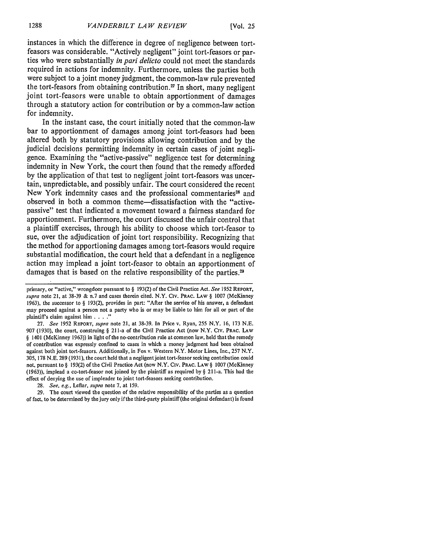instances in which the difference in degree of negligence between tortfeasors was considerable. "Actively negligent" joint tort-feasors or parties who were substantially *in pari delicto* could not meet the standards required in actions for indemnity. Furthermore, unless the parties both were subject to a joint money judgment, the common-law rule prevented the tort-feasors from obtaining contribution.<sup>27</sup> In short, many negligent joint tort-feasors were unable to obtain apportionment of damages through a statutory action for contribution or **by** a common-law action for indemnity.

In the instant case, the court initially noted that the common-law bar to apportionment of damages among joint tort-feasors had been altered both **by** statutory provisions allowing contribution and **by** the judicial decisions permitting indemnity in certain cases of joint negligence. Examining the "active-passive" negligence test for determining indemnity in New York, the court then found that the remedy afforded **by** the application of that test to negligent joint tort-feasors was uncertain, unpredictable, and possibly unfair. The court considered the recent New York indemnity cases and the professional commentaries<sup>28</sup> and observed in both a common theme-dissatisfaction with the "activepassive" test that indicated a movement toward a fairness standard for apportionment. Furthermore, the court discussed the unfair control that a plaintiff exercises, through his ability to choose which tort-feasor to sue, over the adjudication of joint tort responsibility. Recognizing that the method for apportioning damages among tort-feasors would require substantial modification, the court held that a defendant in a negligence action may implead a joint tort-feasor to obtain an apportionment of damages that is based on the relative responsibility of the parties.<sup>29</sup>

27. *See* 1952 REPORT, *supra* note 21, at 38-39. In Price v. Ryan, 255 N.Y. 16, 173 N.E. 907 (1930), the court, construing § 21 1-a of the Civil Practice Act (now N.Y. Civ. PRAC. LAW § 1401 (McKinney 1963)) in light of the no-contribution rule at common law, held that the remedy of contribution was expressly confined to cases in which a money judgment had been obtained against both joint tort-feasors. Additionally, in Fox v. Western N.Y. Motor Lines, Inc., 257 N.Y. 305, 178 N.E. 289 (1931), the court held that a negligent joint tort-feasor seeking contribution could not, pursuant to § 193(2) of the Civil Practice Act (now N.Y. Civ. PRAC. LAW § 1007 (McKinney (1963)), implead a co-tort-feasor not joined **by** the plaintiff as required **by** § 211-a. This had the effect of denying the use of impleader to joint tort-feasors seeking contribution.

28. *See, e.g.,* Leflar, *supra* note **7,** at 159.

29. The court viewed the question of the relative responsibility of the parties as a question of fact, to be determined **by** the jury only if the third-party plaintiff (the original defendant) is found

primary, or "active," wrongdoer pursuant to § 193(2) of the Civil Practice Act. *See* 1952 **REPORT, supra** note 21, at 38-39 & n.7 and cases therein cited. N.Y. **CIV.** PRAC. LAW § 1007 (McKinney 1963), the successor to § 193(2), provides in part: "After the service of his answer, a defendant may proceed against a person not a party who is or may be liable to him for all or part of the plaintiff's claim against him **.... "**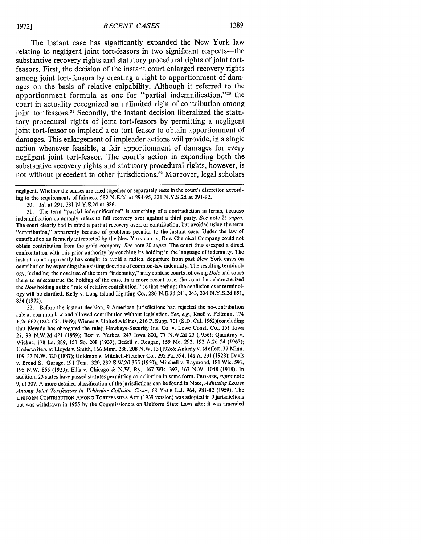The instant case has significantly expanded the New York law relating to negligent joint tort-feasors in two significant respects—the substantive recovery rights and statutory procedural rights of joint tortfeasors. First, the decision of the instant court enlarged recovery rights among joint tort-feasors **by** creating a right to apportionment of damages on the basis of relative culpability. Although it referred to the apportionment formula as one for "partial indemnification,"<sup>30</sup> the court in actuality recognized an unlimited right of contribution among joint tortfeasors **. 3** Secondly, the instant decision liberalized the statutory procedural rights of joint tort-feasors **by** permitting a negligent joint tort-feasor to implead a co-tort-feasor to obtain apportionment of damages. This enlargement of impleader actions will provide, in a single action whenever feasible, a fair apportionment of damages for every negligent joint tort-feasor. The court's action in expanding both the substantive recovery rights and statutory procedural rights, however, is not without precedent in other jurisdictions.<sup>32</sup> Moreover, legal scholars

32. Before the instant decision, 9 American jurisdictions had rejected the no-contribution rule at common law and allowed contribution without legislation. *See, e.g.,* Knell v. Feltman, 174 F.2d 662 (D.C. Cir. 1949); Wiener v. United Airlines, 216 F. Supp. 701 (S.D. Cal. 1962)(concluding that Nevada has abrogated the rule); Hawkeye-Security Ins. Co. v. Lowe Const. Co., 251 Iowa **27,** 99 N.W.2d 421 (1959); Best v. Yerkes, 247 Iowa 800, 77 N.W.2d 23 **(1956);** Quantray v. Wicker, 178 La. 289, 151 So. 208 (1933); Bedell v. Reagan, 159 Me. 292, 192 A.2d 24 (1963); Underwriters at Lloyds v. Smith, 166 Minn. 288, 208 N.W. 13 (1926); Ankeny v. Moffett, 37 Minn. 109, 33 N.W. 320 (1887); Goldman v. Mitchell-Fletcher Co., 292 Pa. 354, 141 A. 231 (1928); Davis v. Broad St. Garage, 191 Tenn. 320, 232 S.W.2d 355 **(1950);** Mitchell v. Raymond, 181 Wis. 591, 195 N.W. **855** (1923); Ellis v. Chicago & N.W. Ry., 167 Wis. 392, 167 N.W. 1048 (1918). In addition, 23 states have passed statutes permitting contribution in some form. PROSSER, *supra* note 9, at 307. A more detailed classification of the jurisdictions can be found in Note, *Adjusting Losses Among Joint Torifeasors in Vehicular Collision Cases,* 68 YALE L.J. 964, 981-82 (1959). The UNIFORM **CONTRIBUTION AMONG** TORTFEASORS Acr (1939 version) was adopted in 9 jurisdictions but was withdrawn in 1955 by the Commissioners on Uniform State Laws after it was amended

negligent. Whether the causes are tried together or separately rests in the court's discretion according to the requirements of fairness. 282 N.E.2d at 294-95, 331 N.Y.S.2d at 391-92.

<sup>30.</sup> *Id.* at 291, 331 N.Y.S.2d at 386.

<sup>31.</sup> The term "partial indemnification" is something of a contradiction in terms, because indemnification commonly refers to full recovery over against a third party. *See* note 21 *supra.* The court clearly had in mind a partial recovery over, or contribution, but avoided using the term "contribution," apparently because of problems peculiar to the instant case. Under the law of contribution as formerly interpreted by the New York courts, Dow Chemical Company could not obtain contribution from the grain company. *See* note 20 *supra.* The court thus escaped a direct confrontation with this prior authority by couching its holding in the language of indemnity. The instant court apparently has sought to avoid a radical departure from past New York cases on contribution by expanding the existing doctrine of common-law indemnity. The resulting terminology, including the novel use of the term "indemnity," may confuse courts following *Dole* and cause them to misconstrue the holding of the case. In a more recent case, the court has characterized the *Dole* holding as the "rule of relative contribution," so that perhaps the confusion over terminology will be clarified. Kelly v. Long Island Lighting Co., 286 N.E.2d 241, 243, 334 N.Y.S.2d 851, 854 (1972).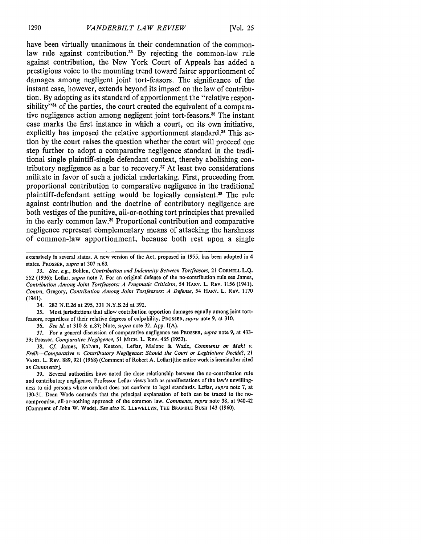have been virtually unanimous in their condemnation of the commonlaw rule against contribution.<sup>33</sup> By rejecting the common-law rule against contribution, the New York Court of Appeals has added a prestigious voice to the mounting trend toward fairer apportionment of damages among negligent joint tort-feasors. The significance of the instant case, however, extends beyond its impact on the law of contribution. **By** adopting as its standard of apportionment the "relative responsibility"<sup>34</sup> of the parties, the court created the equivalent of a comparative negligence action among negligent joint tort-feasors.35 The instant case marks the first instance in which a court, on its own initiative, explicitly has imposed the relative apportionment standard.<sup>36</sup> This action **by** the court raises the question whether the court will proceed one step further to adopt a comparative negligence standard in the traditional single plaintiff-single defendant context, thereby abolishing contributory negligence as a bar to recovery.<sup>37</sup> At least two considerations militate in favor of such a judicial undertaking. First, proceeding from proportional contribution to comparative negligence in the traditional plaintiff-defendant setting would be logically consistent.38 The rule against contribution and the doctrine of contributory negligence are both vestiges of the punitive, all-or-nothing tort principles that prevailed in the early common law.39 Proportional contribution and comparative negligence represent complementary means of attacking the harshness of common-law apportionment, because both rest upon a single

34. 282 N.E.2d at 295, 331 N.Y.S.2d at 392.

35. Most jurisdictions that allow contribution apportion damages equally among joint tortfeasors, regardless of their relative degrees of culpability. PROSSER, *supra* note 9, at 310.

36. *See id.* at 310 & n.87; Note, *supra* note 32, App. I(A).

37. For a general discussion of comparative negligence see PROSSER, *supra* note 9, at 433- 39; Prosser, Comparative *Negligence, 51* MICH. L. REv. 465 (1953).

38. **Cf.** James, Kalven, Keeton, Leflar, Malone & Wade, *Comments on Maki v. Frelk-Comparative v. Contributory Negligence: Should the* **Court** or Legislature Decide?, 21 **VAND.** L. REV. 889, 921 (1968) (Comment of Robert A. Leflar)[the entire work is hereinafter cited as *Comments].*

39. Several authorities have noted the close relationship between the no-contribution rule and contributory negligence. Professor Leflar views both as manifestations of the law's unwillingness to aid persons whose conduct does not conform to legal standards. Leflar, *supra* note 7, at **130-31.** Dean Wade contends that the principal explanation of both can be traced to the nocompromise, all-or-nothing approach of the common law. *Comments, supra* note 38, at 940-42 (Comment of John W. Wade). *See also* K. LLEWELLYN, THE BRAMBLE **BUSH** 143 **(1960).**

extensively in several states. A new version of the Act, proposed in **1955,** has been adopted in 4 states. PROSSER, *supra* at **307** n.63.

<sup>33.</sup> *See, e.g.,* Bohlen, *Contribution and Indemnity Between Tortfeasors,* 21 **CORNELL** L.Q. **552** (1936); Leflar, *supra* note 7. For an original defense of the no-contribution rule see James, *Contribution Among Joint Tortfeasors: A Pragmatic Criticism,* 54 HARV. L. REV. 1156 (1941). *Contra,* **Gregory,** *Contribution Among Joint Tortfeasors: A Defense,* 54 HARV. L. REv. 1170 (1941).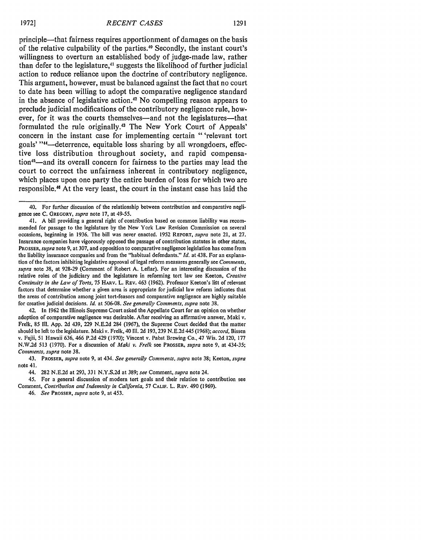principle-that fairness requires apportionment of damages on the basis of the relative culpability of the parties.<sup>40</sup> Secondly, the instant court's willingness to overturn an established body of judge-made law, rather than defer to the legislature,<sup>41</sup> suggests the likelihood of further judicial action to reduce reliance upon the doctrine of contributory negligence. This argument, however, must be balanced against the fact that no court to date has been willing to adopt the comparative negligence standard in the absence of legislative action.42 No compelling reason appears to preclude judicial modifications of the contributory negligence rule, however, for it was the courts themselves—and not the legislatures—that formulated the rule originally.<sup>43</sup> The New York Court of Appeals' concern in the instant case for implementing certain "'relevant tort goals' " 4-deterrence, equitable loss sharing **by** all wrongdoers, effective loss distribution throughout society, and rapid compensation<sup>45</sup>—and its overall concern for fairness to the parties may lead the court to correct the unfairness inherent in contributory negligence, which places upon one party the entire burden of loss for which two are responsible.<sup>46</sup> At the very least, the court in the instant case has laid the

42. In 1962 the Illinois Supreme Court asked the Appellate Court for an opinion on whether adoption of comparative negligence was desirable. After receiving an affirmative answer, Maki v. Frelk, 85 III. App. 2d 439, 229 N.E.2d 284 (1967), the Supreme Court decided that the matter should be left to the legislature. Maki v. Frelk, 40 Ill. 2d 193, 239 N.E.2d 445 (1968); *accord,* Bissen v. Fujii, **51** Hawaii 636, 466 P.2d 429 (1970); Vincent v. Pabst Brewing Co., 47 Wis. 2d 120, 177 N.W.2d 513 (1970). For a discussion of *Maki v. Frelk* see PROSSER, *supra* note 9, at 434-35; *Comments, supra* note **38.**

43. PROSSER, *supra* note 9, at 434. *See generally Comments, supra* note 38; Keeton, *supra* note 41.

44. 282 N.E.2d at 293, 331 N.Y.S.2d at 389; *see* Comment, *supra* note 24.

45. For a general discussion of modern tort goals and their relation to contribution see Comment, *Contribution and Indemnity in California,* 57 **CALIF.** L. REV. 490 (1969).

<sup>40.</sup> For further discussion of the relationship between contribution and comparative negligence see **C.** GREGORY, *supra* note 17, at 49-55.

<sup>41.</sup> A bill providing a general right of contribution based on common liability was recommended for passage to the legislature by the New York Law Revision Commission on several occasions, beginning in 1936. The bill was never enacted. 1952 REPORT, *supra* note 21, at 27. Insurance companies have vigorously opposed the passage of contribution statutes in other states, PROSSER, *supra* note 9, at 307, and opposition to comparative negligence legislation has come from the liability insurance companies and from the "habitual defendants." *Id.* at 438. For an explanation of the factors inhibiting legislative approval of legal reform measures generally see Comments, *supra* note 38, at 928-29 (Comment of Robert A. Leflar). For an interesting discussion of the relative roles of the judiciary and the legislature in reforming tort law see Keeton, Creative Continuity *in the Law of Torts,* 75 HARV. L. REV. 463 (1962). Professor Keeton's lift of relevant factors that determine whether a given area is appropriate for judicial law reform indicates that the areas of contribution among joint tort-feasors and comparative negligence are highly suitable for creative judicial decisions. *Id.* at 506-08. *See generally Comments, supra* note 38.

<sup>46.</sup> *See* PROSSER, *supra* note 9, at 453.